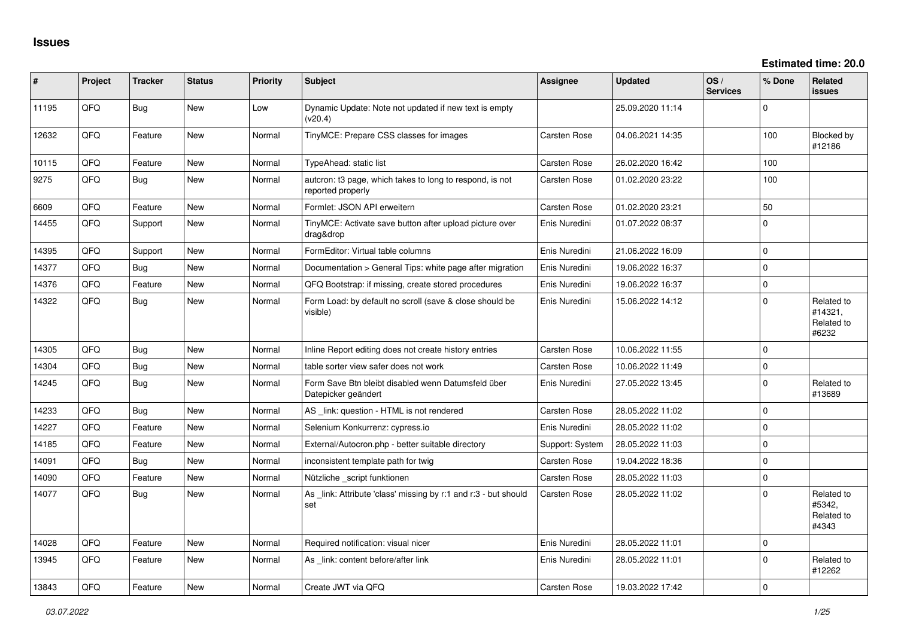| #     | Project | <b>Tracker</b> | <b>Status</b> | <b>Priority</b> | <b>Subject</b>                                                                | <b>Assignee</b>     | <b>Updated</b>   | OS/<br><b>Services</b> | % Done      | Related<br><b>issues</b>                     |
|-------|---------|----------------|---------------|-----------------|-------------------------------------------------------------------------------|---------------------|------------------|------------------------|-------------|----------------------------------------------|
| 11195 | QFQ     | Bug            | <b>New</b>    | Low             | Dynamic Update: Note not updated if new text is empty<br>(v20.4)              |                     | 25.09.2020 11:14 |                        | $\Omega$    |                                              |
| 12632 | QFQ     | Feature        | <b>New</b>    | Normal          | TinyMCE: Prepare CSS classes for images                                       | Carsten Rose        | 04.06.2021 14:35 |                        | 100         | Blocked by<br>#12186                         |
| 10115 | QFQ     | Feature        | <b>New</b>    | Normal          | TypeAhead: static list                                                        | Carsten Rose        | 26.02.2020 16:42 |                        | 100         |                                              |
| 9275  | QFQ     | Bug            | New           | Normal          | autcron: t3 page, which takes to long to respond, is not<br>reported properly | Carsten Rose        | 01.02.2020 23:22 |                        | 100         |                                              |
| 6609  | QFQ     | Feature        | <b>New</b>    | Normal          | Formlet: JSON API erweitern                                                   | Carsten Rose        | 01.02.2020 23:21 |                        | 50          |                                              |
| 14455 | QFQ     | Support        | <b>New</b>    | Normal          | TinyMCE: Activate save button after upload picture over<br>drag&drop          | Enis Nuredini       | 01.07.2022 08:37 |                        | $\mathbf 0$ |                                              |
| 14395 | QFQ     | Support        | <b>New</b>    | Normal          | FormEditor: Virtual table columns                                             | Enis Nuredini       | 21.06.2022 16:09 |                        | $\Omega$    |                                              |
| 14377 | QFQ     | Bug            | <b>New</b>    | Normal          | Documentation > General Tips: white page after migration                      | Enis Nuredini       | 19.06.2022 16:37 |                        | $\mathbf 0$ |                                              |
| 14376 | QFQ     | Feature        | <b>New</b>    | Normal          | QFQ Bootstrap: if missing, create stored procedures                           | Enis Nuredini       | 19.06.2022 16:37 |                        | $\mathbf 0$ |                                              |
| 14322 | QFQ     | Bug            | New           | Normal          | Form Load: by default no scroll (save & close should be<br>visible)           | Enis Nuredini       | 15.06.2022 14:12 |                        | $\Omega$    | Related to<br>#14321,<br>Related to<br>#6232 |
| 14305 | QFQ     | Bug            | <b>New</b>    | Normal          | Inline Report editing does not create history entries                         | Carsten Rose        | 10.06.2022 11:55 |                        | $\mathbf 0$ |                                              |
| 14304 | QFQ     | <b>Bug</b>     | New           | Normal          | table sorter view safer does not work                                         | Carsten Rose        | 10.06.2022 11:49 |                        | $\pmb{0}$   |                                              |
| 14245 | QFQ     | <b>Bug</b>     | New           | Normal          | Form Save Btn bleibt disabled wenn Datumsfeld über<br>Datepicker geändert     | Enis Nuredini       | 27.05.2022 13:45 |                        | $\mathbf 0$ | Related to<br>#13689                         |
| 14233 | QFQ     | <b>Bug</b>     | <b>New</b>    | Normal          | AS _link: question - HTML is not rendered                                     | Carsten Rose        | 28.05.2022 11:02 |                        | $\mathbf 0$ |                                              |
| 14227 | QFQ     | Feature        | <b>New</b>    | Normal          | Selenium Konkurrenz: cypress.io                                               | Enis Nuredini       | 28.05.2022 11:02 |                        | $\mathbf 0$ |                                              |
| 14185 | QFQ     | Feature        | New           | Normal          | External/Autocron.php - better suitable directory                             | Support: System     | 28.05.2022 11:03 |                        | $\mathbf 0$ |                                              |
| 14091 | QFQ     | Bug            | <b>New</b>    | Normal          | inconsistent template path for twig                                           | <b>Carsten Rose</b> | 19.04.2022 18:36 |                        | $\Omega$    |                                              |
| 14090 | QFQ     | Feature        | New           | Normal          | Nützliche _script funktionen                                                  | Carsten Rose        | 28.05.2022 11:03 |                        | $\pmb{0}$   |                                              |
| 14077 | QFQ     | Bug            | New           | Normal          | As link: Attribute 'class' missing by r:1 and r:3 - but should<br>set         | Carsten Rose        | 28.05.2022 11:02 |                        | $\Omega$    | Related to<br>#5342,<br>Related to<br>#4343  |
| 14028 | QFQ     | Feature        | <b>New</b>    | Normal          | Required notification: visual nicer                                           | Enis Nuredini       | 28.05.2022 11:01 |                        | $\mathbf 0$ |                                              |
| 13945 | QFQ     | Feature        | <b>New</b>    | Normal          | As link: content before/after link                                            | Enis Nuredini       | 28.05.2022 11:01 |                        | $\mathbf 0$ | Related to<br>#12262                         |
| 13843 | QFQ     | Feature        | New           | Normal          | Create JWT via QFQ                                                            | Carsten Rose        | 19.03.2022 17:42 |                        | $\mathbf 0$ |                                              |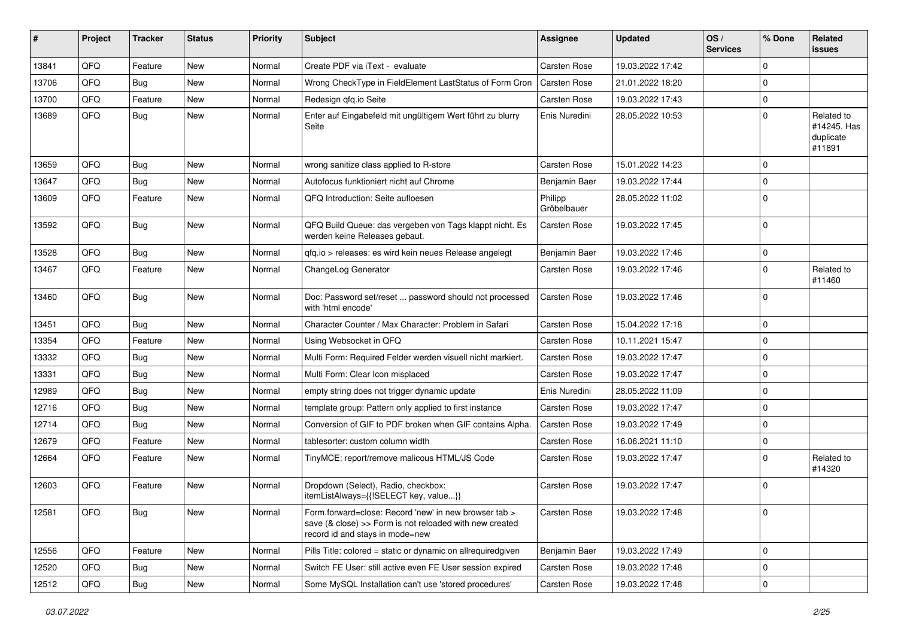| #     | Project | <b>Tracker</b> | <b>Status</b> | <b>Priority</b> | Subject                                                                                                                                             | <b>Assignee</b>        | <b>Updated</b>   | OS/<br><b>Services</b> | % Done      | Related<br>issues                                |
|-------|---------|----------------|---------------|-----------------|-----------------------------------------------------------------------------------------------------------------------------------------------------|------------------------|------------------|------------------------|-------------|--------------------------------------------------|
| 13841 | QFQ     | Feature        | <b>New</b>    | Normal          | Create PDF via iText - evaluate                                                                                                                     | Carsten Rose           | 19.03.2022 17:42 |                        | $\mathbf 0$ |                                                  |
| 13706 | QFQ     | Bug            | <b>New</b>    | Normal          | Wrong CheckType in FieldElement LastStatus of Form Cron                                                                                             | Carsten Rose           | 21.01.2022 18:20 |                        | $\pmb{0}$   |                                                  |
| 13700 | QFQ     | Feature        | New           | Normal          | Redesign gfg.io Seite                                                                                                                               | Carsten Rose           | 19.03.2022 17:43 |                        | $\mathbf 0$ |                                                  |
| 13689 | QFQ     | <b>Bug</b>     | New           | Normal          | Enter auf Eingabefeld mit ungültigem Wert führt zu blurry<br>Seite                                                                                  | Enis Nuredini          | 28.05.2022 10:53 |                        | $\mathbf 0$ | Related to<br>#14245, Has<br>duplicate<br>#11891 |
| 13659 | QFQ     | <b>Bug</b>     | <b>New</b>    | Normal          | wrong sanitize class applied to R-store                                                                                                             | Carsten Rose           | 15.01.2022 14:23 |                        | $\Omega$    |                                                  |
| 13647 | QFQ     | Bug            | <b>New</b>    | Normal          | Autofocus funktioniert nicht auf Chrome                                                                                                             | Benjamin Baer          | 19.03.2022 17:44 |                        | $\mathbf 0$ |                                                  |
| 13609 | QFQ     | Feature        | <b>New</b>    | Normal          | QFQ Introduction: Seite aufloesen                                                                                                                   | Philipp<br>Gröbelbauer | 28.05.2022 11:02 |                        | $\mathbf 0$ |                                                  |
| 13592 | QFQ     | Bug            | <b>New</b>    | Normal          | QFQ Build Queue: das vergeben von Tags klappt nicht. Es<br>werden keine Releases gebaut.                                                            | Carsten Rose           | 19.03.2022 17:45 |                        | $\mathbf 0$ |                                                  |
| 13528 | QFQ     | Bug            | <b>New</b>    | Normal          | qfq.io > releases: es wird kein neues Release angelegt                                                                                              | Benjamin Baer          | 19.03.2022 17:46 |                        | $\mathbf 0$ |                                                  |
| 13467 | QFQ     | Feature        | <b>New</b>    | Normal          | ChangeLog Generator                                                                                                                                 | Carsten Rose           | 19.03.2022 17:46 |                        | $\mathbf 0$ | Related to<br>#11460                             |
| 13460 | QFQ     | Bug            | <b>New</b>    | Normal          | Doc: Password set/reset  password should not processed<br>with 'html encode'                                                                        | Carsten Rose           | 19.03.2022 17:46 |                        | $\mathbf 0$ |                                                  |
| 13451 | QFQ     | Bug            | <b>New</b>    | Normal          | Character Counter / Max Character: Problem in Safari                                                                                                | Carsten Rose           | 15.04.2022 17:18 |                        | $\mathbf 0$ |                                                  |
| 13354 | QFQ     | Feature        | <b>New</b>    | Normal          | Using Websocket in QFQ                                                                                                                              | Carsten Rose           | 10.11.2021 15:47 |                        | $\mathbf 0$ |                                                  |
| 13332 | QFQ     | Bug            | <b>New</b>    | Normal          | Multi Form: Required Felder werden visuell nicht markiert.                                                                                          | Carsten Rose           | 19.03.2022 17:47 |                        | $\mathbf 0$ |                                                  |
| 13331 | QFQ     | Bug            | <b>New</b>    | Normal          | Multi Form: Clear Icon misplaced                                                                                                                    | Carsten Rose           | 19.03.2022 17:47 |                        | $\mathbf 0$ |                                                  |
| 12989 | QFQ     | Bug            | <b>New</b>    | Normal          | empty string does not trigger dynamic update                                                                                                        | Enis Nuredini          | 28.05.2022 11:09 |                        | $\mathbf 0$ |                                                  |
| 12716 | QFQ     | Bug            | <b>New</b>    | Normal          | template group: Pattern only applied to first instance                                                                                              | Carsten Rose           | 19.03.2022 17:47 |                        | $\mathbf 0$ |                                                  |
| 12714 | QFQ     | <b>Bug</b>     | <b>New</b>    | Normal          | Conversion of GIF to PDF broken when GIF contains Alpha.                                                                                            | Carsten Rose           | 19.03.2022 17:49 |                        | $\mathbf 0$ |                                                  |
| 12679 | QFQ     | Feature        | New           | Normal          | tablesorter: custom column width                                                                                                                    | Carsten Rose           | 16.06.2021 11:10 |                        | $\pmb{0}$   |                                                  |
| 12664 | QFQ     | Feature        | New           | Normal          | TinyMCE: report/remove malicous HTML/JS Code                                                                                                        | Carsten Rose           | 19.03.2022 17:47 |                        | $\mathbf 0$ | Related to<br>#14320                             |
| 12603 | QFQ     | Feature        | <b>New</b>    | Normal          | Dropdown (Select), Radio, checkbox:<br>itemListAlways={{!SELECT key, value}}                                                                        | Carsten Rose           | 19.03.2022 17:47 |                        | 0           |                                                  |
| 12581 | QFG     | <b>Bug</b>     | New           | Normal          | Form.forward=close: Record 'new' in new browser tab ><br>save (& close) >> Form is not reloaded with new created<br>record id and stays in mode=new | Carsten Rose           | 19.03.2022 17:48 |                        | l 0         |                                                  |
| 12556 | QFQ     | Feature        | New           | Normal          | Pills Title: colored = static or dynamic on allrequiredgiven                                                                                        | Benjamin Baer          | 19.03.2022 17:49 |                        | $\mathbf 0$ |                                                  |
| 12520 | QFQ     | <b>Bug</b>     | New           | Normal          | Switch FE User: still active even FE User session expired                                                                                           | Carsten Rose           | 19.03.2022 17:48 |                        | $\pmb{0}$   |                                                  |
| 12512 | QFQ     | Bug            | New           | Normal          | Some MySQL Installation can't use 'stored procedures'                                                                                               | Carsten Rose           | 19.03.2022 17:48 |                        | $\mathsf 0$ |                                                  |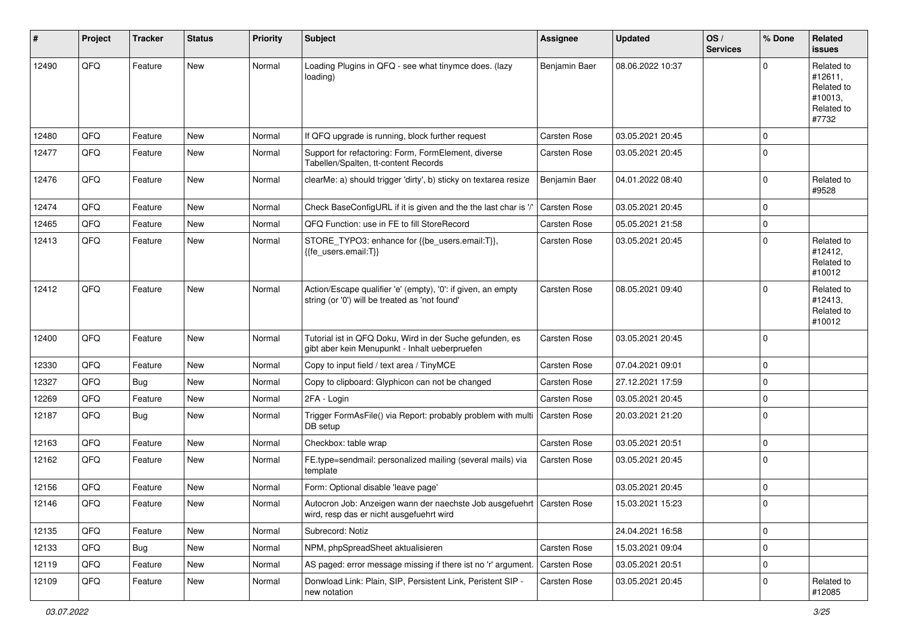| #     | Project | <b>Tracker</b> | <b>Status</b> | <b>Priority</b> | <b>Subject</b>                                                                                                      | <b>Assignee</b>     | <b>Updated</b>   | OS/<br><b>Services</b> | % Done      | <b>Related</b><br>issues                                              |
|-------|---------|----------------|---------------|-----------------|---------------------------------------------------------------------------------------------------------------------|---------------------|------------------|------------------------|-------------|-----------------------------------------------------------------------|
| 12490 | QFQ     | Feature        | <b>New</b>    | Normal          | Loading Plugins in QFQ - see what tinymce does. (lazy<br>loading)                                                   | Benjamin Baer       | 08.06.2022 10:37 |                        | 0           | Related to<br>#12611,<br>Related to<br>#10013,<br>Related to<br>#7732 |
| 12480 | QFQ     | Feature        | <b>New</b>    | Normal          | If QFQ upgrade is running, block further request                                                                    | Carsten Rose        | 03.05.2021 20:45 |                        | 0           |                                                                       |
| 12477 | QFQ     | Feature        | New           | Normal          | Support for refactoring: Form, FormElement, diverse<br>Tabellen/Spalten, tt-content Records                         | Carsten Rose        | 03.05.2021 20:45 |                        | 0           |                                                                       |
| 12476 | QFQ     | Feature        | <b>New</b>    | Normal          | clearMe: a) should trigger 'dirty', b) sticky on textarea resize                                                    | Benjamin Baer       | 04.01.2022 08:40 |                        | 0           | Related to<br>#9528                                                   |
| 12474 | QFQ     | Feature        | <b>New</b>    | Normal          | Check BaseConfigURL if it is given and the the last char is '/'                                                     | Carsten Rose        | 03.05.2021 20:45 |                        | 0           |                                                                       |
| 12465 | QFQ     | Feature        | New           | Normal          | QFQ Function: use in FE to fill StoreRecord                                                                         | <b>Carsten Rose</b> | 05.05.2021 21:58 |                        | 0           |                                                                       |
| 12413 | QFQ     | Feature        | New           | Normal          | STORE_TYPO3: enhance for {{be_users.email:T}},<br>{{fe_users.email:T}}                                              | Carsten Rose        | 03.05.2021 20:45 |                        | 0           | Related to<br>#12412,<br>Related to<br>#10012                         |
| 12412 | QFQ     | Feature        | <b>New</b>    | Normal          | Action/Escape qualifier 'e' (empty), '0': if given, an empty<br>string (or '0') will be treated as 'not found'      | Carsten Rose        | 08.05.2021 09:40 |                        | 0           | Related to<br>#12413,<br>Related to<br>#10012                         |
| 12400 | QFQ     | Feature        | <b>New</b>    | Normal          | Tutorial ist in QFQ Doku, Wird in der Suche gefunden, es<br>gibt aber kein Menupunkt - Inhalt ueberpruefen          | Carsten Rose        | 03.05.2021 20:45 |                        | 0           |                                                                       |
| 12330 | QFQ     | Feature        | <b>New</b>    | Normal          | Copy to input field / text area / TinyMCE                                                                           | Carsten Rose        | 07.04.2021 09:01 |                        | 0           |                                                                       |
| 12327 | QFQ     | Bug            | New           | Normal          | Copy to clipboard: Glyphicon can not be changed                                                                     | <b>Carsten Rose</b> | 27.12.2021 17:59 |                        | 0           |                                                                       |
| 12269 | QFQ     | Feature        | New           | Normal          | 2FA - Login                                                                                                         | <b>Carsten Rose</b> | 03.05.2021 20:45 |                        | 0           |                                                                       |
| 12187 | QFQ     | Bug            | New           | Normal          | Trigger FormAsFile() via Report: probably problem with multi<br>DB setup                                            | Carsten Rose        | 20.03.2021 21:20 |                        | 0           |                                                                       |
| 12163 | QFQ     | Feature        | <b>New</b>    | Normal          | Checkbox: table wrap                                                                                                | Carsten Rose        | 03.05.2021 20:51 |                        | 0           |                                                                       |
| 12162 | QFQ     | Feature        | New           | Normal          | FE.type=sendmail: personalized mailing (several mails) via<br>template                                              | Carsten Rose        | 03.05.2021 20:45 |                        | 0           |                                                                       |
| 12156 | QFQ     | Feature        | <b>New</b>    | Normal          | Form: Optional disable 'leave page'                                                                                 |                     | 03.05.2021 20:45 |                        | 0           |                                                                       |
| 12146 | QFQ     | Feature        | New           | Normal          | Autocron Job: Anzeigen wann der naechste Job ausgefuehrt   Carsten Rose<br>wird, resp das er nicht ausgefuehrt wird |                     | 15.03.2021 15:23 |                        | $\Omega$    |                                                                       |
| 12135 | QFQ     | Feature        | New           | Normal          | Subrecord: Notiz                                                                                                    |                     | 24.04.2021 16:58 |                        | 0           |                                                                       |
| 12133 | QFQ     | Bug            | New           | Normal          | NPM, phpSpreadSheet aktualisieren                                                                                   | Carsten Rose        | 15.03.2021 09:04 |                        | $\mathbf 0$ |                                                                       |
| 12119 | QFQ     | Feature        | New           | Normal          | AS paged: error message missing if there ist no 'r' argument.                                                       | Carsten Rose        | 03.05.2021 20:51 |                        | 0           |                                                                       |
| 12109 | QFQ     | Feature        | New           | Normal          | Donwload Link: Plain, SIP, Persistent Link, Peristent SIP -<br>new notation                                         | Carsten Rose        | 03.05.2021 20:45 |                        | 0           | Related to<br>#12085                                                  |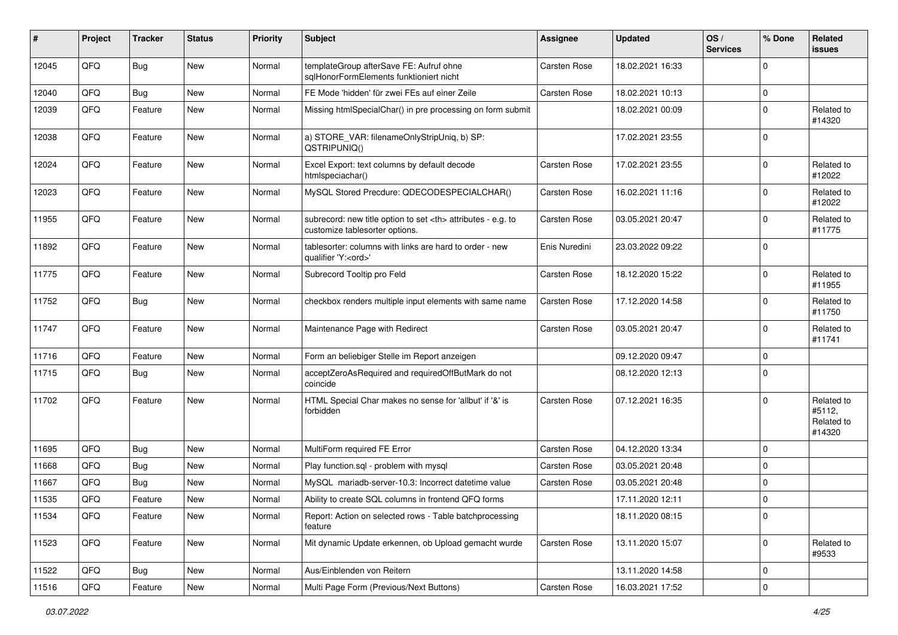| $\sharp$ | Project | <b>Tracker</b> | <b>Status</b> | <b>Priority</b> | <b>Subject</b>                                                                                       | <b>Assignee</b>                                        | <b>Updated</b>   | OS/<br><b>Services</b> | % Done      | Related<br><b>issues</b>                     |                      |
|----------|---------|----------------|---------------|-----------------|------------------------------------------------------------------------------------------------------|--------------------------------------------------------|------------------|------------------------|-------------|----------------------------------------------|----------------------|
| 12045    | QFQ     | <b>Bug</b>     | New           | Normal          | templateGroup afterSave FE: Aufruf ohne<br>sglHonorFormElements funktioniert nicht                   | Carsten Rose                                           | 18.02.2021 16:33 |                        | $\Omega$    |                                              |                      |
| 12040    | QFQ     | <b>Bug</b>     | <b>New</b>    | Normal          | FE Mode 'hidden' für zwei FEs auf einer Zeile                                                        | <b>Carsten Rose</b>                                    | 18.02.2021 10:13 |                        | 0           |                                              |                      |
| 12039    | QFQ     | Feature        | <b>New</b>    | Normal          | Missing htmlSpecialChar() in pre processing on form submit                                           |                                                        | 18.02.2021 00:09 |                        | $\mathbf 0$ | Related to<br>#14320                         |                      |
| 12038    | QFQ     | Feature        | <b>New</b>    | Normal          | a) STORE_VAR: filenameOnlyStripUniq, b) SP:<br>QSTRIPUNIQ()                                          |                                                        | 17.02.2021 23:55 |                        | $\mathbf 0$ |                                              |                      |
| 12024    | QFQ     | Feature        | New           | Normal          | Excel Export: text columns by default decode<br>htmlspeciachar()                                     | Carsten Rose                                           | 17.02.2021 23:55 |                        | $\Omega$    | Related to<br>#12022                         |                      |
| 12023    | QFQ     | Feature        | New           | Normal          | MySQL Stored Precdure: QDECODESPECIALCHAR()                                                          | <b>Carsten Rose</b>                                    | 16.02.2021 11:16 |                        | $\mathbf 0$ | Related to<br>#12022                         |                      |
| 11955    | QFQ     | Feature        | <b>New</b>    | Normal          | subrecord: new title option to set <th> attributes - e.g. to<br/>customize tablesorter options.</th> | attributes - e.g. to<br>customize tablesorter options. | Carsten Rose     | 03.05.2021 20:47       |             | $\mathbf 0$                                  | Related to<br>#11775 |
| 11892    | QFQ     | Feature        | New           | Normal          | tablesorter: columns with links are hard to order - new<br>qualifier 'Y: <ord>'</ord>                | Enis Nuredini                                          | 23.03.2022 09:22 |                        | $\mathbf 0$ |                                              |                      |
| 11775    | QFQ     | Feature        | New           | Normal          | Subrecord Tooltip pro Feld                                                                           | <b>Carsten Rose</b>                                    | 18.12.2020 15:22 |                        | 0           | Related to<br>#11955                         |                      |
| 11752    | QFQ     | <b>Bug</b>     | New           | Normal          | checkbox renders multiple input elements with same name                                              | Carsten Rose                                           | 17.12.2020 14:58 |                        | $\mathbf 0$ | Related to<br>#11750                         |                      |
| 11747    | QFQ     | Feature        | New           | Normal          | Maintenance Page with Redirect                                                                       | <b>Carsten Rose</b>                                    | 03.05.2021 20:47 |                        | $\mathbf 0$ | Related to<br>#11741                         |                      |
| 11716    | QFQ     | Feature        | New           | Normal          | Form an beliebiger Stelle im Report anzeigen                                                         |                                                        | 09.12.2020 09:47 |                        | 0           |                                              |                      |
| 11715    | QFQ     | <b>Bug</b>     | <b>New</b>    | Normal          | acceptZeroAsRequired and requiredOffButMark do not<br>coincide                                       |                                                        | 08.12.2020 12:13 |                        | $\mathbf 0$ |                                              |                      |
| 11702    | QFQ     | Feature        | <b>New</b>    | Normal          | HTML Special Char makes no sense for 'allbut' if '&' is<br>forbidden                                 | <b>Carsten Rose</b>                                    | 07.12.2021 16:35 |                        | $\mathbf 0$ | Related to<br>#5112,<br>Related to<br>#14320 |                      |
| 11695    | QFQ     | <b>Bug</b>     | <b>New</b>    | Normal          | MultiForm required FE Error                                                                          | <b>Carsten Rose</b>                                    | 04.12.2020 13:34 |                        | $\mathbf 0$ |                                              |                      |
| 11668    | QFQ     | <b>Bug</b>     | <b>New</b>    | Normal          | Play function.sql - problem with mysql                                                               | <b>Carsten Rose</b>                                    | 03.05.2021 20:48 |                        | 0           |                                              |                      |
| 11667    | QFQ     | <b>Bug</b>     | <b>New</b>    | Normal          | MySQL mariadb-server-10.3: Incorrect datetime value                                                  | Carsten Rose                                           | 03.05.2021 20:48 |                        | $\mathbf 0$ |                                              |                      |
| 11535    | QFQ     | Feature        | New           | Normal          | Ability to create SQL columns in frontend QFQ forms                                                  |                                                        | 17.11.2020 12:11 |                        | $\mathbf 0$ |                                              |                      |
| 11534    | QFG     | Feature        | New           | Normal          | Report: Action on selected rows - Table batchprocessing<br>feature                                   |                                                        | 18.11.2020 08:15 |                        | 0           |                                              |                      |
| 11523    | QFQ     | Feature        | New           | Normal          | Mit dynamic Update erkennen, ob Upload gemacht wurde                                                 | Carsten Rose                                           | 13.11.2020 15:07 |                        | $\mathbf 0$ | Related to<br>#9533                          |                      |
| 11522    | QFQ     | <b>Bug</b>     | New           | Normal          | Aus/Einblenden von Reitern                                                                           |                                                        | 13.11.2020 14:58 |                        | $\mathbf 0$ |                                              |                      |
| 11516    | QFG     | Feature        | New           | Normal          | Multi Page Form (Previous/Next Buttons)                                                              | Carsten Rose                                           | 16.03.2021 17:52 |                        | 0           |                                              |                      |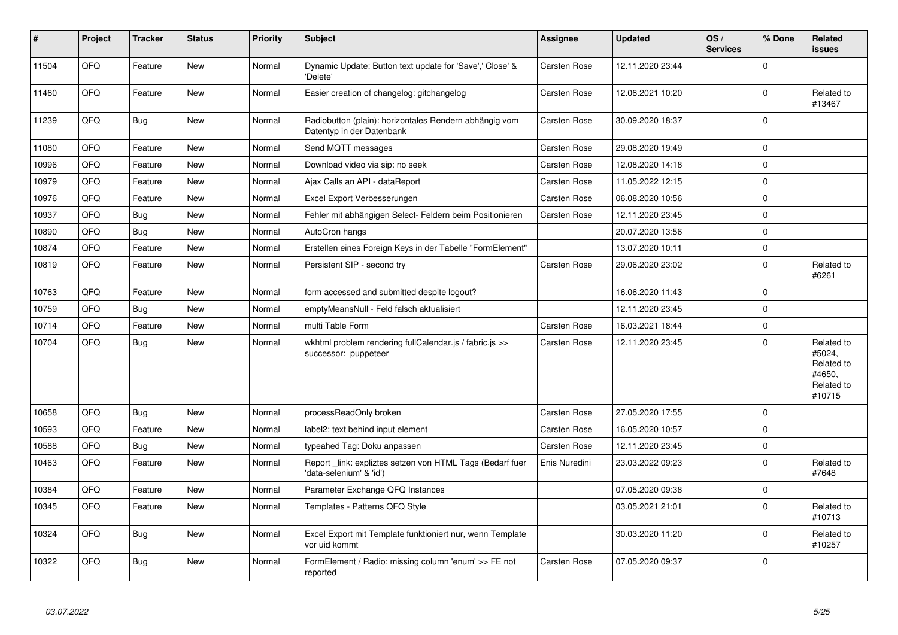| $\vert$ # | Project | <b>Tracker</b> | <b>Status</b> | <b>Priority</b> | <b>Subject</b>                                                                      | Assignee            | <b>Updated</b>   | OS/<br><b>Services</b> | % Done      | Related<br>issues                                                    |
|-----------|---------|----------------|---------------|-----------------|-------------------------------------------------------------------------------------|---------------------|------------------|------------------------|-------------|----------------------------------------------------------------------|
| 11504     | QFQ     | Feature        | <b>New</b>    | Normal          | Dynamic Update: Button text update for 'Save',' Close' &<br>'Delete'                | Carsten Rose        | 12.11.2020 23:44 |                        | $\Omega$    |                                                                      |
| 11460     | QFQ     | Feature        | <b>New</b>    | Normal          | Easier creation of changelog: gitchangelog                                          | Carsten Rose        | 12.06.2021 10:20 |                        | $\Omega$    | Related to<br>#13467                                                 |
| 11239     | QFQ     | <b>Bug</b>     | <b>New</b>    | Normal          | Radiobutton (plain): horizontales Rendern abhängig vom<br>Datentyp in der Datenbank | Carsten Rose        | 30.09.2020 18:37 |                        | $\Omega$    |                                                                      |
| 11080     | QFQ     | Feature        | <b>New</b>    | Normal          | Send MQTT messages                                                                  | Carsten Rose        | 29.08.2020 19:49 |                        | 0           |                                                                      |
| 10996     | QFQ     | Feature        | New           | Normal          | Download video via sip: no seek                                                     | Carsten Rose        | 12.08.2020 14:18 |                        | $\Omega$    |                                                                      |
| 10979     | QFQ     | Feature        | <b>New</b>    | Normal          | Ajax Calls an API - dataReport                                                      | <b>Carsten Rose</b> | 11.05.2022 12:15 |                        | 0           |                                                                      |
| 10976     | QFQ     | Feature        | New           | Normal          | Excel Export Verbesserungen                                                         | Carsten Rose        | 06.08.2020 10:56 |                        | $\Omega$    |                                                                      |
| 10937     | QFQ     | <b>Bug</b>     | <b>New</b>    | Normal          | Fehler mit abhängigen Select- Feldern beim Positionieren                            | Carsten Rose        | 12.11.2020 23:45 |                        | $\Omega$    |                                                                      |
| 10890     | QFQ     | Bug            | New           | Normal          | AutoCron hangs                                                                      |                     | 20.07.2020 13:56 |                        | 0           |                                                                      |
| 10874     | QFQ     | Feature        | <b>New</b>    | Normal          | Erstellen eines Foreign Keys in der Tabelle "FormElement"                           |                     | 13.07.2020 10:11 |                        | $\mathbf 0$ |                                                                      |
| 10819     | QFQ     | Feature        | <b>New</b>    | Normal          | Persistent SIP - second try                                                         | Carsten Rose        | 29.06.2020 23:02 |                        | $\Omega$    | Related to<br>#6261                                                  |
| 10763     | QFQ     | Feature        | <b>New</b>    | Normal          | form accessed and submitted despite logout?                                         |                     | 16.06.2020 11:43 |                        | $\Omega$    |                                                                      |
| 10759     | QFQ     | <b>Bug</b>     | New           | Normal          | emptyMeansNull - Feld falsch aktualisiert                                           |                     | 12.11.2020 23:45 |                        | $\Omega$    |                                                                      |
| 10714     | QFQ     | Feature        | <b>New</b>    | Normal          | multi Table Form                                                                    | Carsten Rose        | 16.03.2021 18:44 |                        | $\Omega$    |                                                                      |
| 10704     | QFQ     | <b>Bug</b>     | New           | Normal          | wkhtml problem rendering fullCalendar.js / fabric.js >><br>successor: puppeteer     | Carsten Rose        | 12.11.2020 23:45 |                        | $\Omega$    | Related to<br>#5024,<br>Related to<br>#4650,<br>Related to<br>#10715 |
| 10658     | QFQ     | <b>Bug</b>     | <b>New</b>    | Normal          | processReadOnly broken                                                              | Carsten Rose        | 27.05.2020 17:55 |                        | $\Omega$    |                                                                      |
| 10593     | QFQ     | Feature        | <b>New</b>    | Normal          | label2: text behind input element                                                   | Carsten Rose        | 16.05.2020 10:57 |                        | $\Omega$    |                                                                      |
| 10588     | QFQ     | <b>Bug</b>     | <b>New</b>    | Normal          | typeahed Tag: Doku anpassen                                                         | Carsten Rose        | 12.11.2020 23:45 |                        | 0           |                                                                      |
| 10463     | QFQ     | Feature        | New           | Normal          | Report link: expliztes setzen von HTML Tags (Bedarf fuer<br>'data-selenium' & 'id') | Enis Nuredini       | 23.03.2022 09:23 |                        | $\Omega$    | Related to<br>#7648                                                  |
| 10384     | QFQ     | Feature        | <b>New</b>    | Normal          | Parameter Exchange QFQ Instances                                                    |                     | 07.05.2020 09:38 |                        | $\pmb{0}$   |                                                                      |
| 10345     | QFQ     | Feature        | <b>New</b>    | Normal          | Templates - Patterns QFQ Style                                                      |                     | 03.05.2021 21:01 |                        | $\Omega$    | Related to<br>#10713                                                 |
| 10324     | QFQ     | <b>Bug</b>     | New           | Normal          | Excel Export mit Template funktioniert nur, wenn Template<br>vor uid kommt          |                     | 30.03.2020 11:20 |                        | $\mathbf 0$ | Related to<br>#10257                                                 |
| 10322     | QFQ     | <b>Bug</b>     | <b>New</b>    | Normal          | FormElement / Radio: missing column 'enum' >> FE not<br>reported                    | Carsten Rose        | 07.05.2020 09:37 |                        | $\Omega$    |                                                                      |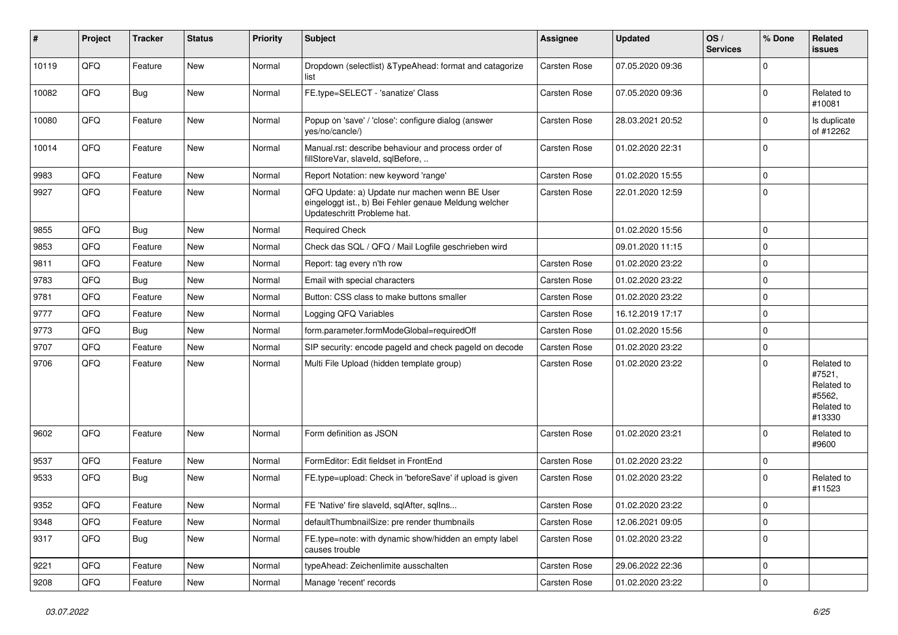| ∦     | Project | <b>Tracker</b> | <b>Status</b> | <b>Priority</b> | <b>Subject</b>                                                                                                                        | <b>Assignee</b> | <b>Updated</b>   | OS/<br><b>Services</b> | % Done      | Related<br>issues                                                    |
|-------|---------|----------------|---------------|-----------------|---------------------------------------------------------------------------------------------------------------------------------------|-----------------|------------------|------------------------|-------------|----------------------------------------------------------------------|
| 10119 | QFQ     | Feature        | <b>New</b>    | Normal          | Dropdown (selectlist) & TypeAhead: format and catagorize<br>list                                                                      | Carsten Rose    | 07.05.2020 09:36 |                        | $\Omega$    |                                                                      |
| 10082 | QFQ     | <b>Bug</b>     | New           | Normal          | FE.type=SELECT - 'sanatize' Class                                                                                                     | Carsten Rose    | 07.05.2020 09:36 |                        | $\Omega$    | Related to<br>#10081                                                 |
| 10080 | QFQ     | Feature        | <b>New</b>    | Normal          | Popup on 'save' / 'close': configure dialog (answer<br>yes/no/cancle/)                                                                | Carsten Rose    | 28.03.2021 20:52 |                        | $\mathbf 0$ | Is duplicate<br>of #12262                                            |
| 10014 | QFQ     | Feature        | <b>New</b>    | Normal          | Manual.rst: describe behaviour and process order of<br>fillStoreVar, slaveId, sqlBefore,                                              | Carsten Rose    | 01.02.2020 22:31 |                        | $\mathbf 0$ |                                                                      |
| 9983  | QFQ     | Feature        | <b>New</b>    | Normal          | Report Notation: new keyword 'range'                                                                                                  | Carsten Rose    | 01.02.2020 15:55 |                        | 0           |                                                                      |
| 9927  | QFQ     | Feature        | <b>New</b>    | Normal          | QFQ Update: a) Update nur machen wenn BE User<br>eingeloggt ist., b) Bei Fehler genaue Meldung welcher<br>Updateschritt Probleme hat. | Carsten Rose    | 22.01.2020 12:59 |                        | $\Omega$    |                                                                      |
| 9855  | QFQ     | Bug            | <b>New</b>    | Normal          | <b>Required Check</b>                                                                                                                 |                 | 01.02.2020 15:56 |                        | $\Omega$    |                                                                      |
| 9853  | QFQ     | Feature        | New           | Normal          | Check das SQL / QFQ / Mail Logfile geschrieben wird                                                                                   |                 | 09.01.2020 11:15 |                        | $\Omega$    |                                                                      |
| 9811  | QFQ     | Feature        | <b>New</b>    | Normal          | Report: tag every n'th row                                                                                                            | Carsten Rose    | 01.02.2020 23:22 |                        | $\mathbf 0$ |                                                                      |
| 9783  | QFQ     | <b>Bug</b>     | <b>New</b>    | Normal          | Email with special characters                                                                                                         | Carsten Rose    | 01.02.2020 23:22 |                        | $\Omega$    |                                                                      |
| 9781  | QFQ     | Feature        | New           | Normal          | Button: CSS class to make buttons smaller                                                                                             | Carsten Rose    | 01.02.2020 23:22 |                        | $\mathbf 0$ |                                                                      |
| 9777  | QFQ     | Feature        | <b>New</b>    | Normal          | Logging QFQ Variables                                                                                                                 | Carsten Rose    | 16.12.2019 17:17 |                        | $\mathbf 0$ |                                                                      |
| 9773  | QFQ     | <b>Bug</b>     | <b>New</b>    | Normal          | form.parameter.formModeGlobal=requiredOff                                                                                             | Carsten Rose    | 01.02.2020 15:56 |                        | $\mathbf 0$ |                                                                      |
| 9707  | QFQ     | Feature        | <b>New</b>    | Normal          | SIP security: encode pageld and check pageld on decode                                                                                | Carsten Rose    | 01.02.2020 23:22 |                        | 0           |                                                                      |
| 9706  | QFQ     | Feature        | <b>New</b>    | Normal          | Multi File Upload (hidden template group)                                                                                             | Carsten Rose    | 01.02.2020 23:22 |                        | $\Omega$    | Related to<br>#7521,<br>Related to<br>#5562,<br>Related to<br>#13330 |
| 9602  | QFQ     | Feature        | <b>New</b>    | Normal          | Form definition as JSON                                                                                                               | Carsten Rose    | 01.02.2020 23:21 |                        | $\Omega$    | Related to<br>#9600                                                  |
| 9537  | QFQ     | Feature        | <b>New</b>    | Normal          | FormEditor: Edit fieldset in FrontEnd                                                                                                 | Carsten Rose    | 01.02.2020 23:22 |                        | 0           |                                                                      |
| 9533  | QFQ     | Bug            | <b>New</b>    | Normal          | FE.type=upload: Check in 'beforeSave' if upload is given                                                                              | Carsten Rose    | 01.02.2020 23:22 |                        | $\mathbf 0$ | Related to<br>#11523                                                 |
| 9352  | QFQ     | Feature        | New           | Normal          | FE 'Native' fire slaveld, sqlAfter, sqlIns                                                                                            | Carsten Rose    | 01.02.2020 23:22 |                        | $\Omega$    |                                                                      |
| 9348  | QFQ     | Feature        | New           | Normal          | defaultThumbnailSize: pre render thumbnails                                                                                           | Carsten Rose    | 12.06.2021 09:05 |                        | 0           |                                                                      |
| 9317  | QFQ     | Bug            | New           | Normal          | FE.type=note: with dynamic show/hidden an empty label<br>causes trouble                                                               | Carsten Rose    | 01.02.2020 23:22 |                        | 0           |                                                                      |
| 9221  | QFQ     | Feature        | New           | Normal          | typeAhead: Zeichenlimite ausschalten                                                                                                  | Carsten Rose    | 29.06.2022 22:36 |                        | $\pmb{0}$   |                                                                      |
| 9208  | QFQ     | Feature        | New           | Normal          | Manage 'recent' records                                                                                                               | Carsten Rose    | 01.02.2020 23:22 |                        | $\pmb{0}$   |                                                                      |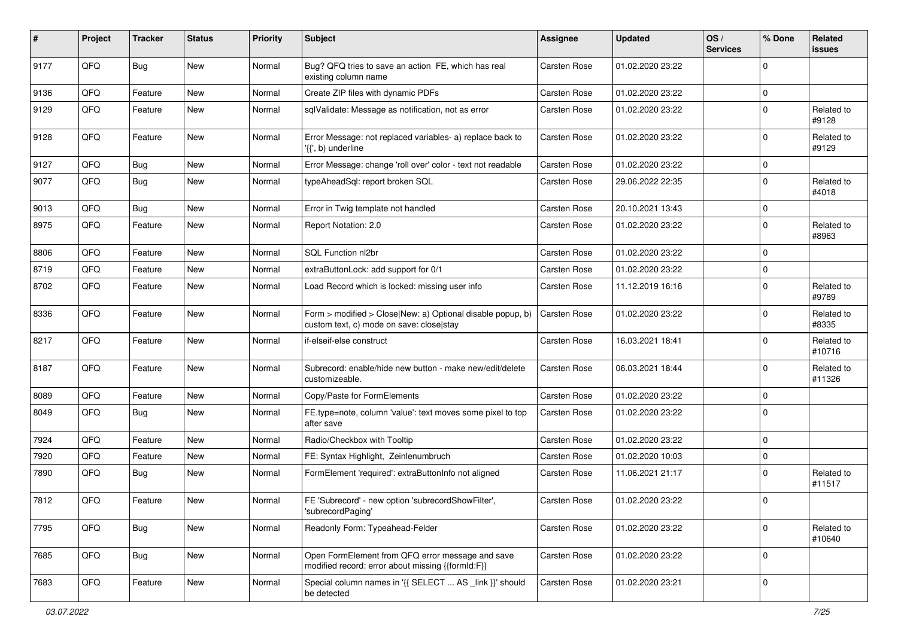| #    | Project | <b>Tracker</b> | <b>Status</b> | <b>Priority</b> | Subject                                                                                                | <b>Assignee</b>     | <b>Updated</b>   | OS/<br><b>Services</b> | % Done      | Related<br><b>issues</b> |
|------|---------|----------------|---------------|-----------------|--------------------------------------------------------------------------------------------------------|---------------------|------------------|------------------------|-------------|--------------------------|
| 9177 | QFQ     | <b>Bug</b>     | New           | Normal          | Bug? QFQ tries to save an action FE, which has real<br>existing column name                            | <b>Carsten Rose</b> | 01.02.2020 23:22 |                        | 0           |                          |
| 9136 | QFQ     | Feature        | New           | Normal          | Create ZIP files with dynamic PDFs                                                                     | <b>Carsten Rose</b> | 01.02.2020 23:22 |                        | 0           |                          |
| 9129 | QFQ     | Feature        | New           | Normal          | sqlValidate: Message as notification, not as error                                                     | Carsten Rose        | 01.02.2020 23:22 |                        | 0           | Related to<br>#9128      |
| 9128 | QFQ     | Feature        | New           | Normal          | Error Message: not replaced variables- a) replace back to<br>'{{', b) underline                        | <b>Carsten Rose</b> | 01.02.2020 23:22 |                        | $\Omega$    | Related to<br>#9129      |
| 9127 | QFQ     | <b>Bug</b>     | <b>New</b>    | Normal          | Error Message: change 'roll over' color - text not readable                                            | Carsten Rose        | 01.02.2020 23:22 |                        | 0           |                          |
| 9077 | QFQ     | Bug            | New           | Normal          | typeAheadSql: report broken SQL                                                                        | Carsten Rose        | 29.06.2022 22:35 |                        | 0           | Related to<br>#4018      |
| 9013 | QFQ     | Bug            | <b>New</b>    | Normal          | Error in Twig template not handled                                                                     | Carsten Rose        | 20.10.2021 13:43 |                        | 0           |                          |
| 8975 | QFQ     | Feature        | New           | Normal          | Report Notation: 2.0                                                                                   | Carsten Rose        | 01.02.2020 23:22 |                        | 0           | Related to<br>#8963      |
| 8806 | QFQ     | Feature        | <b>New</b>    | Normal          | SQL Function nl2br                                                                                     | <b>Carsten Rose</b> | 01.02.2020 23:22 |                        | 0           |                          |
| 8719 | QFQ     | Feature        | New           | Normal          | extraButtonLock: add support for 0/1                                                                   | <b>Carsten Rose</b> | 01.02.2020 23:22 |                        | 0           |                          |
| 8702 | QFQ     | Feature        | New           | Normal          | Load Record which is locked: missing user info                                                         | <b>Carsten Rose</b> | 11.12.2019 16:16 |                        | 0           | Related to<br>#9789      |
| 8336 | QFQ     | Feature        | New           | Normal          | Form > modified > Close New: a) Optional disable popup, b)<br>custom text, c) mode on save: closelstay | <b>Carsten Rose</b> | 01.02.2020 23:22 |                        | $\mathbf 0$ | Related to<br>#8335      |
| 8217 | QFQ     | Feature        | New           | Normal          | if-elseif-else construct                                                                               | Carsten Rose        | 16.03.2021 18:41 |                        | 0           | Related to<br>#10716     |
| 8187 | QFQ     | Feature        | New           | Normal          | Subrecord: enable/hide new button - make new/edit/delete<br>customizeable.                             | Carsten Rose        | 06.03.2021 18:44 |                        | 0           | Related to<br>#11326     |
| 8089 | QFQ     | Feature        | New           | Normal          | Copy/Paste for FormElements                                                                            | <b>Carsten Rose</b> | 01.02.2020 23:22 |                        | 0           |                          |
| 8049 | QFQ     | Bug            | New           | Normal          | FE.type=note, column 'value': text moves some pixel to top<br>after save                               | Carsten Rose        | 01.02.2020 23:22 |                        | 0           |                          |
| 7924 | QFQ     | Feature        | New           | Normal          | Radio/Checkbox with Tooltip                                                                            | Carsten Rose        | 01.02.2020 23:22 |                        | 0           |                          |
| 7920 | QFQ     | Feature        | <b>New</b>    | Normal          | FE: Syntax Highlight, Zeinlenumbruch                                                                   | <b>Carsten Rose</b> | 01.02.2020 10:03 |                        | 0           |                          |
| 7890 | QFQ     | <b>Bug</b>     | New           | Normal          | FormElement 'required': extraButtonInfo not aligned                                                    | Carsten Rose        | 11.06.2021 21:17 |                        | 0           | Related to<br>#11517     |
| 7812 | QFQ     | Feature        | New           | Normal          | FE 'Subrecord' - new option 'subrecordShowFilter',<br>'subrecordPaging'                                | Carsten Rose        | 01.02.2020 23:22 |                        | 0           |                          |
| 7795 | QFQ     | Bug            | New           | Normal          | Readonly Form: Typeahead-Felder                                                                        | Carsten Rose        | 01.02.2020 23:22 |                        | $\mathbf 0$ | Related to<br>#10640     |
| 7685 | QFQ     | Bug            | New           | Normal          | Open FormElement from QFQ error message and save<br>modified record: error about missing {{formId:F}}  | Carsten Rose        | 01.02.2020 23:22 |                        | 0           |                          |
| 7683 | QFQ     | Feature        | New           | Normal          | Special column names in '{{ SELECT  AS _link }}' should<br>be detected                                 | Carsten Rose        | 01.02.2020 23:21 |                        | 0           |                          |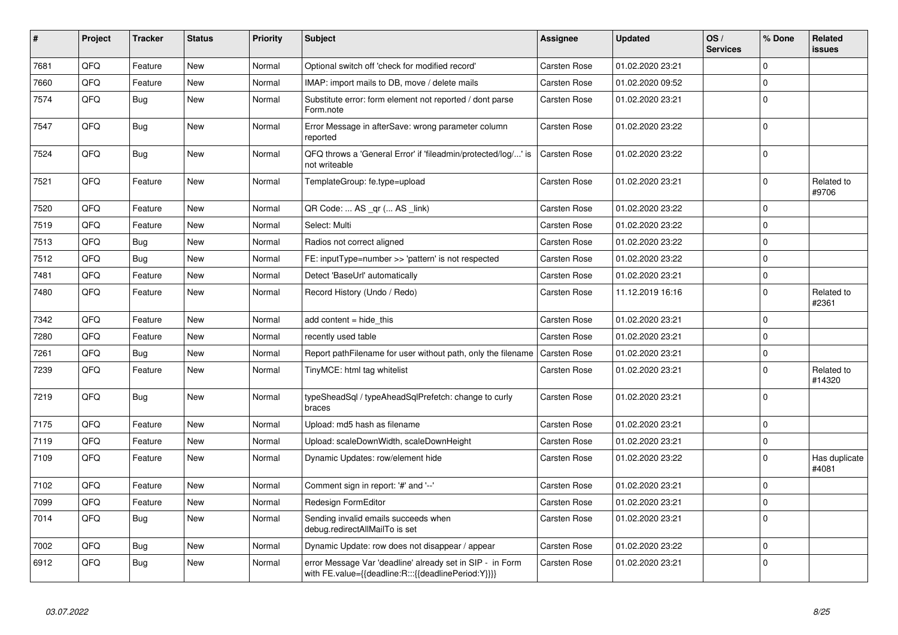| #    | Project | <b>Tracker</b> | <b>Status</b> | <b>Priority</b> | <b>Subject</b>                                                                                                   | Assignee            | <b>Updated</b>   | OS/<br><b>Services</b> | % Done      | Related<br>issues      |
|------|---------|----------------|---------------|-----------------|------------------------------------------------------------------------------------------------------------------|---------------------|------------------|------------------------|-------------|------------------------|
| 7681 | QFQ     | Feature        | <b>New</b>    | Normal          | Optional switch off 'check for modified record'                                                                  | Carsten Rose        | 01.02.2020 23:21 |                        | $\Omega$    |                        |
| 7660 | QFQ     | Feature        | New           | Normal          | IMAP: import mails to DB, move / delete mails                                                                    | Carsten Rose        | 01.02.2020 09:52 |                        | $\Omega$    |                        |
| 7574 | QFQ     | <b>Bug</b>     | <b>New</b>    | Normal          | Substitute error: form element not reported / dont parse<br>Form.note                                            | Carsten Rose        | 01.02.2020 23:21 |                        | $\Omega$    |                        |
| 7547 | QFQ     | Bug            | <b>New</b>    | Normal          | Error Message in afterSave: wrong parameter column<br>reported                                                   | Carsten Rose        | 01.02.2020 23:22 |                        | $\Omega$    |                        |
| 7524 | QFQ     | <b>Bug</b>     | New           | Normal          | QFQ throws a 'General Error' if 'fileadmin/protected/log/' is<br>not writeable                                   | <b>Carsten Rose</b> | 01.02.2020 23:22 |                        | $\Omega$    |                        |
| 7521 | QFQ     | Feature        | <b>New</b>    | Normal          | TemplateGroup: fe.type=upload                                                                                    | Carsten Rose        | 01.02.2020 23:21 |                        | $\mathbf 0$ | Related to<br>#9706    |
| 7520 | QFQ     | Feature        | New           | Normal          | QR Code:  AS _qr ( AS _link)                                                                                     | Carsten Rose        | 01.02.2020 23:22 |                        | $\Omega$    |                        |
| 7519 | QFQ     | Feature        | <b>New</b>    | Normal          | Select: Multi                                                                                                    | Carsten Rose        | 01.02.2020 23:22 |                        | 0           |                        |
| 7513 | QFQ     | Bug            | <b>New</b>    | Normal          | Radios not correct aligned                                                                                       | Carsten Rose        | 01.02.2020 23:22 |                        | $\Omega$    |                        |
| 7512 | QFQ     | <b>Bug</b>     | <b>New</b>    | Normal          | FE: inputType=number >> 'pattern' is not respected                                                               | Carsten Rose        | 01.02.2020 23:22 |                        | 0           |                        |
| 7481 | QFQ     | Feature        | New           | Normal          | Detect 'BaseUrl' automatically                                                                                   | Carsten Rose        | 01.02.2020 23:21 |                        | 0           |                        |
| 7480 | QFQ     | Feature        | New           | Normal          | Record History (Undo / Redo)                                                                                     | Carsten Rose        | 11.12.2019 16:16 |                        | $\pmb{0}$   | Related to<br>#2361    |
| 7342 | QFQ     | Feature        | <b>New</b>    | Normal          | add content = hide this                                                                                          | Carsten Rose        | 01.02.2020 23:21 |                        | $\Omega$    |                        |
| 7280 | QFQ     | Feature        | New           | Normal          | recently used table                                                                                              | Carsten Rose        | 01.02.2020 23:21 |                        | $\Omega$    |                        |
| 7261 | QFQ     | Bug            | <b>New</b>    | Normal          | Report pathFilename for user without path, only the filename                                                     | Carsten Rose        | 01.02.2020 23:21 |                        | $\Omega$    |                        |
| 7239 | QFQ     | Feature        | New           | Normal          | TinyMCE: html tag whitelist                                                                                      | Carsten Rose        | 01.02.2020 23:21 |                        | $\mathbf 0$ | Related to<br>#14320   |
| 7219 | QFQ     | <b>Bug</b>     | New           | Normal          | typeSheadSql / typeAheadSqlPrefetch: change to curly<br>braces                                                   | Carsten Rose        | 01.02.2020 23:21 |                        | $\Omega$    |                        |
| 7175 | QFQ     | Feature        | New           | Normal          | Upload: md5 hash as filename                                                                                     | Carsten Rose        | 01.02.2020 23:21 |                        | $\mathbf 0$ |                        |
| 7119 | QFQ     | Feature        | New           | Normal          | Upload: scaleDownWidth, scaleDownHeight                                                                          | Carsten Rose        | 01.02.2020 23:21 |                        | $\Omega$    |                        |
| 7109 | QFQ     | Feature        | New           | Normal          | Dynamic Updates: row/element hide                                                                                | Carsten Rose        | 01.02.2020 23:22 |                        | $\Omega$    | Has duplicate<br>#4081 |
| 7102 | QFQ     | Feature        | New           | Normal          | Comment sign in report: '#' and '--'                                                                             | Carsten Rose        | 01.02.2020 23:21 |                        | $\Omega$    |                        |
| 7099 | QFQ     | Feature        | New           | Normal          | Redesign FormEditor                                                                                              | Carsten Rose        | 01.02.2020 23:21 |                        | $\Omega$    |                        |
| 7014 | QFQ     | Bug            | New           | Normal          | Sending invalid emails succeeds when<br>debug.redirectAllMailTo is set                                           | Carsten Rose        | 01.02.2020 23:21 |                        | $\Omega$    |                        |
| 7002 | QFQ     | <b>Bug</b>     | <b>New</b>    | Normal          | Dynamic Update: row does not disappear / appear                                                                  | Carsten Rose        | 01.02.2020 23:22 |                        | $\Omega$    |                        |
| 6912 | QFQ     | Bug            | New           | Normal          | error Message Var 'deadline' already set in SIP - in Form<br>with FE.value={{deadline:R:::{{deadlinePeriod:Y}}}} | Carsten Rose        | 01.02.2020 23:21 |                        | $\Omega$    |                        |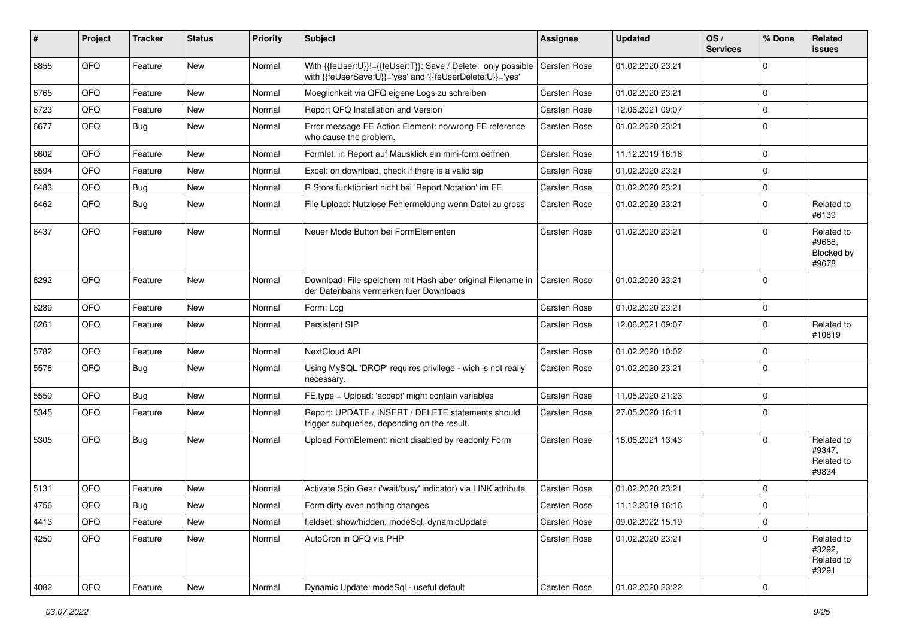| ∦    | Project | <b>Tracker</b> | <b>Status</b> | <b>Priority</b> | <b>Subject</b>                                                                                                             | <b>Assignee</b>     | <b>Updated</b>   | OS/<br><b>Services</b> | % Done         | Related<br>issues                                  |
|------|---------|----------------|---------------|-----------------|----------------------------------------------------------------------------------------------------------------------------|---------------------|------------------|------------------------|----------------|----------------------------------------------------|
| 6855 | QFQ     | Feature        | New           | Normal          | With {{feUser:U}}!={{feUser:T}}: Save / Delete: only possible<br>with {{feUserSave:U}}='yes' and '{{feUserDelete:U}}='yes' | Carsten Rose        | 01.02.2020 23:21 |                        | $\Omega$       |                                                    |
| 6765 | QFQ     | Feature        | <b>New</b>    | Normal          | Moeglichkeit via QFQ eigene Logs zu schreiben                                                                              | Carsten Rose        | 01.02.2020 23:21 |                        | $\mathbf 0$    |                                                    |
| 6723 | QFQ     | Feature        | <b>New</b>    | Normal          | Report QFQ Installation and Version                                                                                        | Carsten Rose        | 12.06.2021 09:07 |                        | $\mathbf 0$    |                                                    |
| 6677 | QFQ     | <b>Bug</b>     | New           | Normal          | Error message FE Action Element: no/wrong FE reference<br>who cause the problem.                                           | Carsten Rose        | 01.02.2020 23:21 |                        | $\mathbf 0$    |                                                    |
| 6602 | QFQ     | Feature        | New           | Normal          | Formlet: in Report auf Mausklick ein mini-form oeffnen                                                                     | Carsten Rose        | 11.12.2019 16:16 |                        | $\mathbf 0$    |                                                    |
| 6594 | QFQ     | Feature        | New           | Normal          | Excel: on download, check if there is a valid sip                                                                          | Carsten Rose        | 01.02.2020 23:21 |                        | $\mathbf 0$    |                                                    |
| 6483 | QFQ     | <b>Bug</b>     | New           | Normal          | R Store funktioniert nicht bei 'Report Notation' im FE                                                                     | Carsten Rose        | 01.02.2020 23:21 |                        | $\mathbf 0$    |                                                    |
| 6462 | QFQ     | <b>Bug</b>     | New           | Normal          | File Upload: Nutzlose Fehlermeldung wenn Datei zu gross                                                                    | Carsten Rose        | 01.02.2020 23:21 |                        | $\mathbf 0$    | Related to<br>#6139                                |
| 6437 | QFQ     | Feature        | <b>New</b>    | Normal          | Neuer Mode Button bei FormElementen                                                                                        | Carsten Rose        | 01.02.2020 23:21 |                        | $\Omega$       | Related to<br>#9668.<br><b>Blocked by</b><br>#9678 |
| 6292 | QFQ     | Feature        | <b>New</b>    | Normal          | Download: File speichern mit Hash aber original Filename in<br>der Datenbank vermerken fuer Downloads                      | <b>Carsten Rose</b> | 01.02.2020 23:21 |                        | $\Omega$       |                                                    |
| 6289 | QFQ     | Feature        | <b>New</b>    | Normal          | Form: Log                                                                                                                  | Carsten Rose        | 01.02.2020 23:21 |                        | $\mathbf 0$    |                                                    |
| 6261 | QFQ     | Feature        | New           | Normal          | Persistent SIP                                                                                                             | Carsten Rose        | 12.06.2021 09:07 |                        | $\mathbf 0$    | Related to<br>#10819                               |
| 5782 | QFQ     | Feature        | New           | Normal          | NextCloud API                                                                                                              | <b>Carsten Rose</b> | 01.02.2020 10:02 |                        | $\mathbf 0$    |                                                    |
| 5576 | QFQ     | <b>Bug</b>     | New           | Normal          | Using MySQL 'DROP' requires privilege - wich is not really<br>necessary.                                                   | Carsten Rose        | 01.02.2020 23:21 |                        | $\Omega$       |                                                    |
| 5559 | QFQ     | Bug            | New           | Normal          | FE.type = Upload: 'accept' might contain variables                                                                         | Carsten Rose        | 11.05.2020 21:23 |                        | $\mathbf 0$    |                                                    |
| 5345 | QFQ     | Feature        | New           | Normal          | Report: UPDATE / INSERT / DELETE statements should<br>trigger subqueries, depending on the result.                         | Carsten Rose        | 27.05.2020 16:11 |                        | $\mathbf 0$    |                                                    |
| 5305 | QFQ     | <b>Bug</b>     | <b>New</b>    | Normal          | Upload FormElement: nicht disabled by readonly Form                                                                        | Carsten Rose        | 16.06.2021 13:43 |                        | $\Omega$       | Related to<br>#9347,<br>Related to<br>#9834        |
| 5131 | QFQ     | Feature        | New           | Normal          | Activate Spin Gear ('wait/busy' indicator) via LINK attribute                                                              | <b>Carsten Rose</b> | 01.02.2020 23:21 |                        | $\mathbf 0$    |                                                    |
| 4756 | QFQ     | Bug            | New           | Normal          | Form dirty even nothing changes                                                                                            | Carsten Rose        | 11.12.2019 16:16 |                        | $\Omega$       |                                                    |
| 4413 | QFQ     | Feature        | New           | Normal          | fieldset: show/hidden, modeSql, dynamicUpdate                                                                              | Carsten Rose        | 09.02.2022 15:19 |                        | $\mathbf 0$    |                                                    |
| 4250 | QFQ     | Feature        | New           | Normal          | AutoCron in QFQ via PHP                                                                                                    | Carsten Rose        | 01.02.2020 23:21 |                        | 0              | Related to<br>#3292,<br>Related to<br>#3291        |
| 4082 | QFQ     | Feature        | New           | Normal          | Dynamic Update: modeSql - useful default                                                                                   | Carsten Rose        | 01.02.2020 23:22 |                        | $\overline{0}$ |                                                    |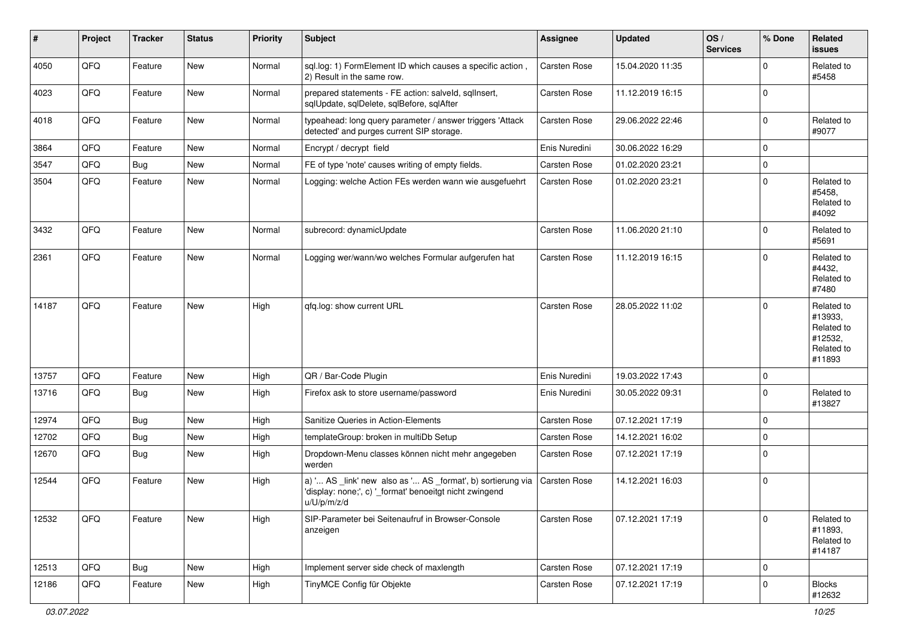| #     | Project | <b>Tracker</b> | <b>Status</b> | <b>Priority</b> | <b>Subject</b>                                                                                                                        | <b>Assignee</b>     | <b>Updated</b>   | OS/<br><b>Services</b> | % Done      | Related<br><b>issues</b>                                               |
|-------|---------|----------------|---------------|-----------------|---------------------------------------------------------------------------------------------------------------------------------------|---------------------|------------------|------------------------|-------------|------------------------------------------------------------------------|
| 4050  | QFQ     | Feature        | New           | Normal          | sql.log: 1) FormElement ID which causes a specific action,<br>2) Result in the same row.                                              | Carsten Rose        | 15.04.2020 11:35 |                        | $\Omega$    | Related to<br>#5458                                                    |
| 4023  | QFQ     | Feature        | New           | Normal          | prepared statements - FE action: salveld, sqllnsert,<br>sqlUpdate, sqlDelete, sqlBefore, sqlAfter                                     | <b>Carsten Rose</b> | 11.12.2019 16:15 |                        | $\mathbf 0$ |                                                                        |
| 4018  | QFQ     | Feature        | New           | Normal          | typeahead: long query parameter / answer triggers 'Attack<br>detected' and purges current SIP storage.                                | Carsten Rose        | 29.06.2022 22:46 |                        | $\mathbf 0$ | Related to<br>#9077                                                    |
| 3864  | QFQ     | Feature        | <b>New</b>    | Normal          | Encrypt / decrypt field                                                                                                               | Enis Nuredini       | 30.06.2022 16:29 |                        | $\mathbf 0$ |                                                                        |
| 3547  | QFQ     | Bug            | New           | Normal          | FE of type 'note' causes writing of empty fields.                                                                                     | Carsten Rose        | 01.02.2020 23:21 |                        | $\mathbf 0$ |                                                                        |
| 3504  | QFQ     | Feature        | New           | Normal          | Logging: welche Action FEs werden wann wie ausgefuehrt                                                                                | <b>Carsten Rose</b> | 01.02.2020 23:21 |                        | $\Omega$    | Related to<br>#5458.<br>Related to<br>#4092                            |
| 3432  | QFQ     | Feature        | New           | Normal          | subrecord: dynamicUpdate                                                                                                              | <b>Carsten Rose</b> | 11.06.2020 21:10 |                        | $\mathbf 0$ | Related to<br>#5691                                                    |
| 2361  | QFQ     | Feature        | New           | Normal          | Logging wer/wann/wo welches Formular aufgerufen hat                                                                                   | Carsten Rose        | 11.12.2019 16:15 |                        | $\Omega$    | Related to<br>#4432,<br>Related to<br>#7480                            |
| 14187 | QFQ     | Feature        | <b>New</b>    | High            | qfq.log: show current URL                                                                                                             | <b>Carsten Rose</b> | 28.05.2022 11:02 |                        | $\Omega$    | Related to<br>#13933,<br>Related to<br>#12532,<br>Related to<br>#11893 |
| 13757 | QFQ     | Feature        | New           | High            | QR / Bar-Code Plugin                                                                                                                  | Enis Nuredini       | 19.03.2022 17:43 |                        | 0           |                                                                        |
| 13716 | QFQ     | Bug            | New           | High            | Firefox ask to store username/password                                                                                                | Enis Nuredini       | 30.05.2022 09:31 |                        | $\Omega$    | Related to<br>#13827                                                   |
| 12974 | QFQ     | Bug            | <b>New</b>    | High            | Sanitize Queries in Action-Elements                                                                                                   | Carsten Rose        | 07.12.2021 17:19 |                        | $\Omega$    |                                                                        |
| 12702 | QFQ     | <b>Bug</b>     | New           | High            | templateGroup: broken in multiDb Setup                                                                                                | Carsten Rose        | 14.12.2021 16:02 |                        | $\mathbf 0$ |                                                                        |
| 12670 | QFQ     | Bug            | New           | High            | Dropdown-Menu classes können nicht mehr angegeben<br>werden                                                                           | <b>Carsten Rose</b> | 07.12.2021 17:19 |                        | 0           |                                                                        |
| 12544 | QFQ     | Feature        | New           | High            | a) ' AS _link' new also as ' AS _format', b) sortierung via<br>'display: none;', c) '_format' benoeitgt nicht zwingend<br>u/U/p/m/z/d | Carsten Rose        | 14.12.2021 16:03 |                        | $\mathbf 0$ |                                                                        |
| 12532 | QFQ     | Feature        | New           | High            | SIP-Parameter bei Seitenaufruf in Browser-Console<br>anzeigen                                                                         | Carsten Rose        | 07.12.2021 17:19 |                        | $\mathbf 0$ | Related to<br>#11893,<br>Related to<br>#14187                          |
| 12513 | QFQ     | <b>Bug</b>     | New           | High            | Implement server side check of maxlength                                                                                              | Carsten Rose        | 07.12.2021 17:19 |                        | $\mathbf 0$ |                                                                        |
| 12186 | QFQ     | Feature        | New           | High            | TinyMCE Config für Objekte                                                                                                            | Carsten Rose        | 07.12.2021 17:19 |                        | $\mathbf 0$ | <b>Blocks</b><br>#12632                                                |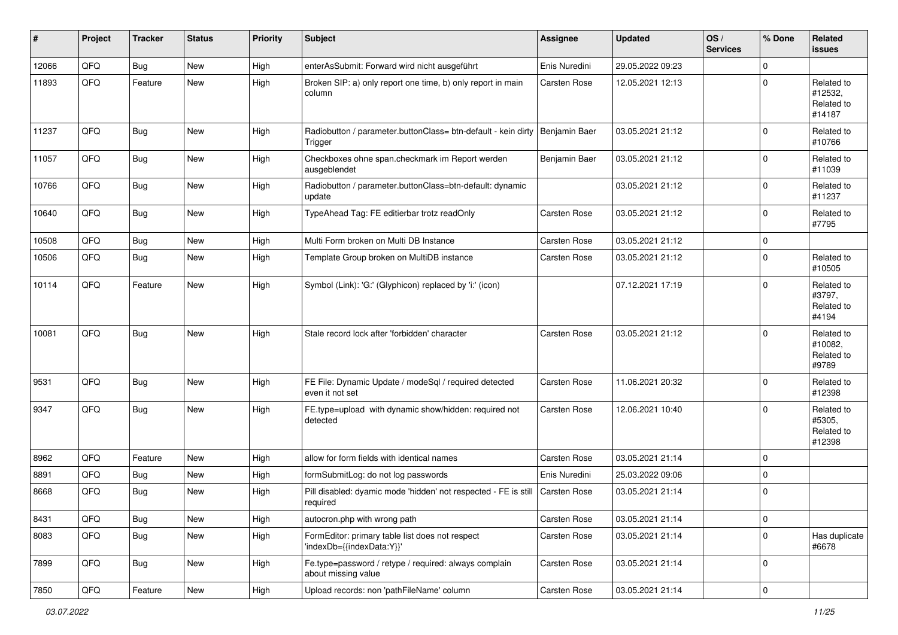| #     | Project | <b>Tracker</b> | <b>Status</b> | <b>Priority</b> | <b>Subject</b>                                                                           | <b>Assignee</b> | <b>Updated</b>   | OS/<br><b>Services</b> | % Done      | <b>Related</b><br><b>issues</b>               |
|-------|---------|----------------|---------------|-----------------|------------------------------------------------------------------------------------------|-----------------|------------------|------------------------|-------------|-----------------------------------------------|
| 12066 | QFQ     | <b>Bug</b>     | <b>New</b>    | High            | enterAsSubmit: Forward wird nicht ausgeführt                                             | Enis Nuredini   | 29.05.2022 09:23 |                        | 0           |                                               |
| 11893 | QFQ     | Feature        | New           | High            | Broken SIP: a) only report one time, b) only report in main<br>column                    | Carsten Rose    | 12.05.2021 12:13 |                        | 0           | Related to<br>#12532,<br>Related to<br>#14187 |
| 11237 | QFQ     | Bug            | <b>New</b>    | High            | Radiobutton / parameter.buttonClass= btn-default - kein dirty   Benjamin Baer<br>Trigger |                 | 03.05.2021 21:12 |                        | $\Omega$    | Related to<br>#10766                          |
| 11057 | QFQ     | <b>Bug</b>     | <b>New</b>    | High            | Checkboxes ohne span.checkmark im Report werden<br>ausgeblendet                          | Benjamin Baer   | 03.05.2021 21:12 |                        | 0           | Related to<br>#11039                          |
| 10766 | QFQ     | <b>Bug</b>     | New           | High            | Radiobutton / parameter.buttonClass=btn-default: dynamic<br>update                       |                 | 03.05.2021 21:12 |                        | $\mathbf 0$ | Related to<br>#11237                          |
| 10640 | QFQ     | <b>Bug</b>     | New           | High            | TypeAhead Tag: FE editierbar trotz readOnly                                              | Carsten Rose    | 03.05.2021 21:12 |                        | $\mathbf 0$ | Related to<br>#7795                           |
| 10508 | QFQ     | Bug            | New           | High            | Multi Form broken on Multi DB Instance                                                   | Carsten Rose    | 03.05.2021 21:12 |                        | 0           |                                               |
| 10506 | QFQ     | <b>Bug</b>     | New           | High            | Template Group broken on MultiDB instance                                                | Carsten Rose    | 03.05.2021 21:12 |                        | 0           | Related to<br>#10505                          |
| 10114 | QFQ     | Feature        | <b>New</b>    | High            | Symbol (Link): 'G:' (Glyphicon) replaced by 'i:' (icon)                                  |                 | 07.12.2021 17:19 |                        | $\Omega$    | Related to<br>#3797,<br>Related to<br>#4194   |
| 10081 | QFQ     | Bug            | New           | High            | Stale record lock after 'forbidden' character                                            | Carsten Rose    | 03.05.2021 21:12 |                        | $\Omega$    | Related to<br>#10082,<br>Related to<br>#9789  |
| 9531  | QFQ     | <b>Bug</b>     | <b>New</b>    | High            | FE File: Dynamic Update / modeSql / required detected<br>even it not set                 | Carsten Rose    | 11.06.2021 20:32 |                        | 0           | Related to<br>#12398                          |
| 9347  | QFQ     | <b>Bug</b>     | New           | High            | FE.type=upload with dynamic show/hidden: required not<br>detected                        | Carsten Rose    | 12.06.2021 10:40 |                        | $\Omega$    | Related to<br>#5305,<br>Related to<br>#12398  |
| 8962  | QFQ     | Feature        | <b>New</b>    | High            | allow for form fields with identical names                                               | Carsten Rose    | 03.05.2021 21:14 |                        | $\mathbf 0$ |                                               |
| 8891  | QFQ     | <b>Bug</b>     | <b>New</b>    | High            | formSubmitLog: do not log passwords                                                      | Enis Nuredini   | 25.03.2022 09:06 |                        | 0           |                                               |
| 8668  | QFQ     | <b>Bug</b>     | New           | High            | Pill disabled: dyamic mode 'hidden' not respected - FE is still<br>required              | Carsten Rose    | 03.05.2021 21:14 |                        | $\mathbf 0$ |                                               |
| 8431  | QFQ     | <b>Bug</b>     | New           | High            | autocron.php with wrong path                                                             | Carsten Rose    | 03.05.2021 21:14 |                        | 0           |                                               |
| 8083  | QFQ     | <b>Bug</b>     | New           | High            | FormEditor: primary table list does not respect<br>'indexDb={{indexData:Y}}'             | Carsten Rose    | 03.05.2021 21:14 |                        | 0           | Has duplicate<br>#6678                        |
| 7899  | QFQ     | <b>Bug</b>     | New           | High            | Fe.type=password / retype / required: always complain<br>about missing value             | Carsten Rose    | 03.05.2021 21:14 |                        | 0           |                                               |
| 7850  | QFQ     | Feature        | New           | High            | Upload records: non 'pathFileName' column                                                | Carsten Rose    | 03.05.2021 21:14 |                        | 0           |                                               |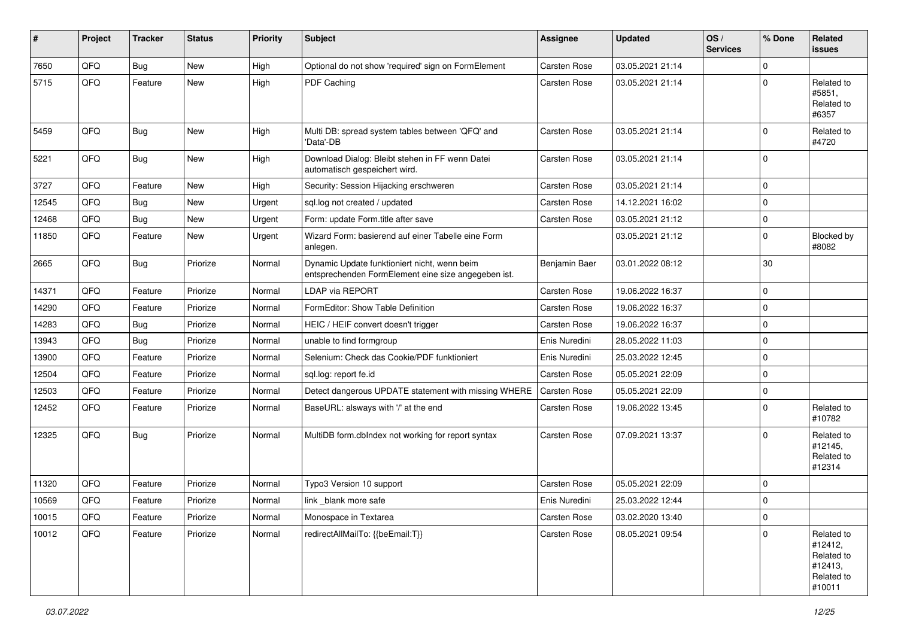| #     | Project | <b>Tracker</b> | <b>Status</b> | <b>Priority</b> | <b>Subject</b>                                                                                      | <b>Assignee</b> | <b>Updated</b>   | OS/<br><b>Services</b> | % Done      | Related<br>issues                                                      |
|-------|---------|----------------|---------------|-----------------|-----------------------------------------------------------------------------------------------------|-----------------|------------------|------------------------|-------------|------------------------------------------------------------------------|
| 7650  | QFQ     | <b>Bug</b>     | New           | High            | Optional do not show 'required' sign on FormElement                                                 | Carsten Rose    | 03.05.2021 21:14 |                        | $\mathbf 0$ |                                                                        |
| 5715  | QFQ     | Feature        | New           | High            | <b>PDF Caching</b>                                                                                  | Carsten Rose    | 03.05.2021 21:14 |                        | $\Omega$    | Related to<br>#5851,<br>Related to<br>#6357                            |
| 5459  | QFQ     | <b>Bug</b>     | New           | High            | Multi DB: spread system tables between 'QFQ' and<br>'Data'-DB                                       | Carsten Rose    | 03.05.2021 21:14 |                        | $\Omega$    | Related to<br>#4720                                                    |
| 5221  | QFQ     | <b>Bug</b>     | New           | High            | Download Dialog: Bleibt stehen in FF wenn Datei<br>automatisch gespeichert wird.                    | Carsten Rose    | 03.05.2021 21:14 |                        | $\Omega$    |                                                                        |
| 3727  | QFQ     | Feature        | New           | High            | Security: Session Hijacking erschweren                                                              | Carsten Rose    | 03.05.2021 21:14 |                        | $\mathbf 0$ |                                                                        |
| 12545 | QFQ     | <b>Bug</b>     | <b>New</b>    | Urgent          | sql.log not created / updated                                                                       | Carsten Rose    | 14.12.2021 16:02 |                        | $\Omega$    |                                                                        |
| 12468 | QFQ     | <b>Bug</b>     | <b>New</b>    | Urgent          | Form: update Form.title after save                                                                  | Carsten Rose    | 03.05.2021 21:12 |                        | $\mathbf 0$ |                                                                        |
| 11850 | QFQ     | Feature        | New           | Urgent          | Wizard Form: basierend auf einer Tabelle eine Form<br>anlegen.                                      |                 | 03.05.2021 21:12 |                        | $\mathbf 0$ | Blocked by<br>#8082                                                    |
| 2665  | QFQ     | <b>Bug</b>     | Priorize      | Normal          | Dynamic Update funktioniert nicht, wenn beim<br>entsprechenden FormElement eine size angegeben ist. | Benjamin Baer   | 03.01.2022 08:12 |                        | 30          |                                                                        |
| 14371 | QFQ     | Feature        | Priorize      | Normal          | LDAP via REPORT                                                                                     | Carsten Rose    | 19.06.2022 16:37 |                        | $\Omega$    |                                                                        |
| 14290 | QFQ     | Feature        | Priorize      | Normal          | FormEditor: Show Table Definition                                                                   | Carsten Rose    | 19.06.2022 16:37 |                        | $\Omega$    |                                                                        |
| 14283 | QFQ     | <b>Bug</b>     | Priorize      | Normal          | HEIC / HEIF convert doesn't trigger                                                                 | Carsten Rose    | 19.06.2022 16:37 |                        | $\Omega$    |                                                                        |
| 13943 | QFQ     | <b>Bug</b>     | Priorize      | Normal          | unable to find formgroup                                                                            | Enis Nuredini   | 28.05.2022 11:03 |                        | $\Omega$    |                                                                        |
| 13900 | QFQ     | Feature        | Priorize      | Normal          | Selenium: Check das Cookie/PDF funktioniert                                                         | Enis Nuredini   | 25.03.2022 12:45 |                        | $\mathbf 0$ |                                                                        |
| 12504 | QFQ     | Feature        | Priorize      | Normal          | sql.log: report fe.id                                                                               | Carsten Rose    | 05.05.2021 22:09 |                        | $\mathbf 0$ |                                                                        |
| 12503 | QFQ     | Feature        | Priorize      | Normal          | Detect dangerous UPDATE statement with missing WHERE                                                | Carsten Rose    | 05.05.2021 22:09 |                        | $\Omega$    |                                                                        |
| 12452 | QFQ     | Feature        | Priorize      | Normal          | BaseURL: alsways with '/' at the end                                                                | Carsten Rose    | 19.06.2022 13:45 |                        | $\Omega$    | Related to<br>#10782                                                   |
| 12325 | QFQ     | <b>Bug</b>     | Priorize      | Normal          | MultiDB form.dblndex not working for report syntax                                                  | Carsten Rose    | 07.09.2021 13:37 |                        | $\Omega$    | Related to<br>#12145,<br>Related to<br>#12314                          |
| 11320 | QFQ     | Feature        | Priorize      | Normal          | Typo3 Version 10 support                                                                            | Carsten Rose    | 05.05.2021 22:09 |                        | $\Omega$    |                                                                        |
| 10569 | QFQ     | Feature        | Priorize      | Normal          | link _blank more safe                                                                               | Enis Nuredini   | 25.03.2022 12:44 |                        | 0           |                                                                        |
| 10015 | QFQ     | Feature        | Priorize      | Normal          | Monospace in Textarea                                                                               | Carsten Rose    | 03.02.2020 13:40 |                        | $\pmb{0}$   |                                                                        |
| 10012 | QFQ     | Feature        | Priorize      | Normal          | redirectAllMailTo: {{beEmail:T}}                                                                    | Carsten Rose    | 08.05.2021 09:54 |                        | $\pmb{0}$   | Related to<br>#12412,<br>Related to<br>#12413,<br>Related to<br>#10011 |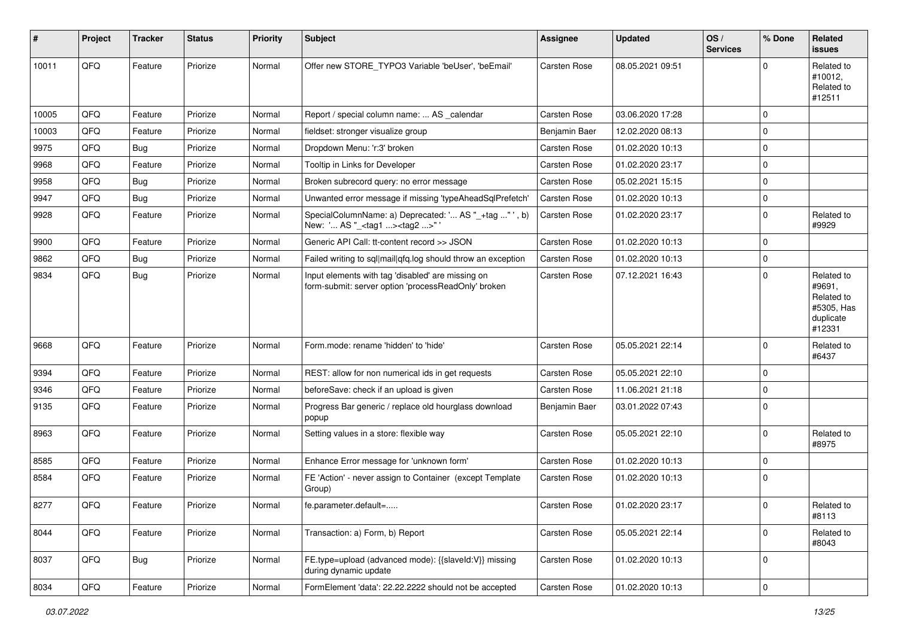| ∦     | Project | <b>Tracker</b> | <b>Status</b> | <b>Priority</b> | <b>Subject</b>                                                                                           | <b>Assignee</b>     | <b>Updated</b>   | OS/<br><b>Services</b> | % Done      | Related<br><b>issues</b>                                                |
|-------|---------|----------------|---------------|-----------------|----------------------------------------------------------------------------------------------------------|---------------------|------------------|------------------------|-------------|-------------------------------------------------------------------------|
| 10011 | QFQ     | Feature        | Priorize      | Normal          | Offer new STORE TYPO3 Variable 'beUser', 'beEmail'                                                       | Carsten Rose        | 08.05.2021 09:51 |                        | $\Omega$    | Related to<br>#10012,<br>Related to<br>#12511                           |
| 10005 | QFQ     | Feature        | Priorize      | Normal          | Report / special column name:  AS calendar                                                               | Carsten Rose        | 03.06.2020 17:28 |                        | 0           |                                                                         |
| 10003 | QFQ     | Feature        | Priorize      | Normal          | fieldset: stronger visualize group                                                                       | Benjamin Baer       | 12.02.2020 08:13 |                        | $\mathbf 0$ |                                                                         |
| 9975  | QFQ     | <b>Bug</b>     | Priorize      | Normal          | Dropdown Menu: 'r:3' broken                                                                              | Carsten Rose        | 01.02.2020 10:13 |                        | 0           |                                                                         |
| 9968  | QFQ     | Feature        | Priorize      | Normal          | Tooltip in Links for Developer                                                                           | Carsten Rose        | 01.02.2020 23:17 |                        | $\Omega$    |                                                                         |
| 9958  | QFQ     | <b>Bug</b>     | Priorize      | Normal          | Broken subrecord query: no error message                                                                 | Carsten Rose        | 05.02.2021 15:15 |                        | $\mathbf 0$ |                                                                         |
| 9947  | QFQ     | <b>Bug</b>     | Priorize      | Normal          | Unwanted error message if missing 'typeAheadSqlPrefetch'                                                 | Carsten Rose        | 01.02.2020 10:13 |                        | $\mathbf 0$ |                                                                         |
| 9928  | QFQ     | Feature        | Priorize      | Normal          | SpecialColumnName: a) Deprecated: ' AS "_+tag " ', b)<br>New: ' AS "_ <tag1><tag2>" '</tag2></tag1>      | Carsten Rose        | 01.02.2020 23:17 |                        | $\mathbf 0$ | Related to<br>#9929                                                     |
| 9900  | QFQ     | Feature        | Priorize      | Normal          | Generic API Call: tt-content record >> JSON                                                              | Carsten Rose        | 01.02.2020 10:13 |                        | $\mathbf 0$ |                                                                         |
| 9862  | QFQ     | <b>Bug</b>     | Priorize      | Normal          | Failed writing to sql mail qfq.log should throw an exception                                             | Carsten Rose        | 01.02.2020 10:13 |                        | $\mathbf 0$ |                                                                         |
| 9834  | QFQ     | <b>Bug</b>     | Priorize      | Normal          | Input elements with tag 'disabled' are missing on<br>form-submit: server option 'processReadOnly' broken | Carsten Rose        | 07.12.2021 16:43 |                        | $\mathbf 0$ | Related to<br>#9691,<br>Related to<br>#5305, Has<br>duplicate<br>#12331 |
| 9668  | QFQ     | Feature        | Priorize      | Normal          | Form.mode: rename 'hidden' to 'hide'                                                                     | <b>Carsten Rose</b> | 05.05.2021 22:14 |                        | $\mathbf 0$ | Related to<br>#6437                                                     |
| 9394  | QFQ     | Feature        | Priorize      | Normal          | REST: allow for non numerical ids in get requests                                                        | Carsten Rose        | 05.05.2021 22:10 |                        | $\mathbf 0$ |                                                                         |
| 9346  | QFQ     | Feature        | Priorize      | Normal          | beforeSave: check if an upload is given                                                                  | Carsten Rose        | 11.06.2021 21:18 |                        | $\mathbf 0$ |                                                                         |
| 9135  | QFQ     | Feature        | Priorize      | Normal          | Progress Bar generic / replace old hourglass download<br>popup                                           | Benjamin Baer       | 03.01.2022 07:43 |                        | $\Omega$    |                                                                         |
| 8963  | QFQ     | Feature        | Priorize      | Normal          | Setting values in a store: flexible way                                                                  | Carsten Rose        | 05.05.2021 22:10 |                        | $\mathbf 0$ | Related to<br>#8975                                                     |
| 8585  | QFQ     | Feature        | Priorize      | Normal          | Enhance Error message for 'unknown form'                                                                 | Carsten Rose        | 01.02.2020 10:13 |                        | $\mathbf 0$ |                                                                         |
| 8584  | QFQ     | Feature        | Priorize      | Normal          | FE 'Action' - never assign to Container (except Template)<br>Group)                                      | Carsten Rose        | 01.02.2020 10:13 |                        | $\mathbf 0$ |                                                                         |
| 8277  | QFQ     | Feature        | Priorize      | Normal          | fe.parameter.default=                                                                                    | Carsten Rose        | 01.02.2020 23:17 |                        | 0           | Related to<br>#8113                                                     |
| 8044  | QFQ     | Feature        | Priorize      | Normal          | Transaction: a) Form, b) Report                                                                          | Carsten Rose        | 05.05.2021 22:14 |                        | $\mathbf 0$ | Related to<br>#8043                                                     |
| 8037  | QFQ     | Bug            | Priorize      | Normal          | FE.type=upload (advanced mode): {{slaveld:V}} missing<br>during dynamic update                           | Carsten Rose        | 01.02.2020 10:13 |                        | $\mathbf 0$ |                                                                         |
| 8034  | QFQ     | Feature        | Priorize      | Normal          | FormElement 'data': 22.22.2222 should not be accepted                                                    | Carsten Rose        | 01.02.2020 10:13 |                        | $\mathsf 0$ |                                                                         |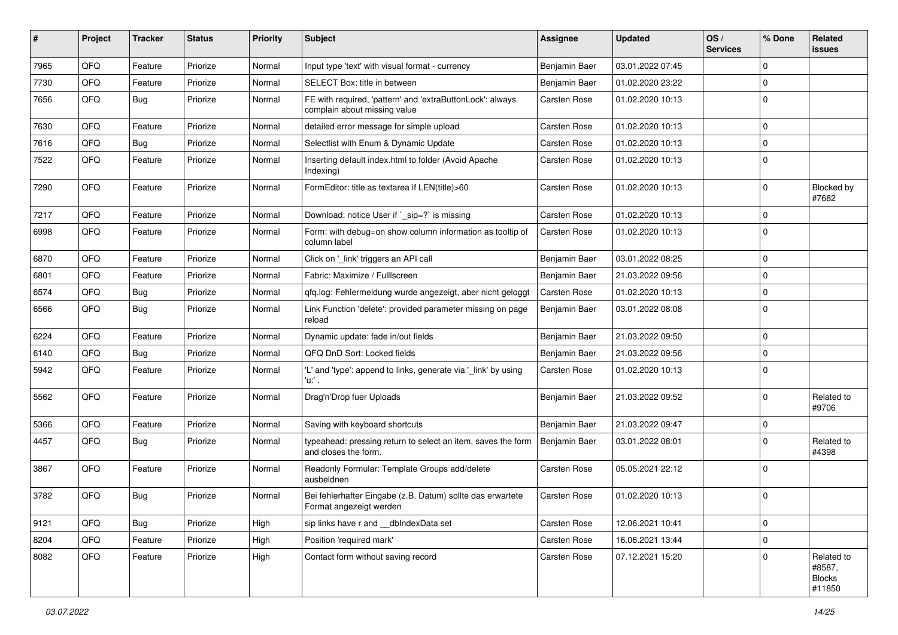| #    | Project | <b>Tracker</b> | <b>Status</b> | <b>Priority</b> | <b>Subject</b>                                                                            | <b>Assignee</b> | <b>Updated</b>   | OS/<br><b>Services</b> | % Done              | Related<br>issues                               |
|------|---------|----------------|---------------|-----------------|-------------------------------------------------------------------------------------------|-----------------|------------------|------------------------|---------------------|-------------------------------------------------|
| 7965 | QFQ     | Feature        | Priorize      | Normal          | Input type 'text' with visual format - currency                                           | Benjamin Baer   | 03.01.2022 07:45 |                        | $\mathbf 0$         |                                                 |
| 7730 | QFQ     | Feature        | Priorize      | Normal          | SELECT Box: title in between                                                              | Benjamin Baer   | 01.02.2020 23:22 |                        | $\mathbf 0$         |                                                 |
| 7656 | QFQ     | <b>Bug</b>     | Priorize      | Normal          | FE with required, 'pattern' and 'extraButtonLock': always<br>complain about missing value | Carsten Rose    | 01.02.2020 10:13 |                        | $\mathbf 0$         |                                                 |
| 7630 | QFQ     | Feature        | Priorize      | Normal          | detailed error message for simple upload                                                  | Carsten Rose    | 01.02.2020 10:13 |                        | $\mathbf 0$         |                                                 |
| 7616 | QFQ     | <b>Bug</b>     | Priorize      | Normal          | Selectlist with Enum & Dynamic Update                                                     | Carsten Rose    | 01.02.2020 10:13 |                        | $\mathbf 0$         |                                                 |
| 7522 | QFQ     | Feature        | Priorize      | Normal          | Inserting default index.html to folder (Avoid Apache<br>Indexing)                         | Carsten Rose    | 01.02.2020 10:13 |                        | $\mathbf 0$         |                                                 |
| 7290 | QFQ     | Feature        | Priorize      | Normal          | FormEditor: title as textarea if LEN(title)>60                                            | Carsten Rose    | 01.02.2020 10:13 |                        | 0                   | Blocked by<br>#7682                             |
| 7217 | QFQ     | Feature        | Priorize      | Normal          | Download: notice User if `_sip=?` is missing                                              | Carsten Rose    | 01.02.2020 10:13 |                        | $\mathbf 0$         |                                                 |
| 6998 | QFQ     | Feature        | Priorize      | Normal          | Form: with debug=on show column information as tooltip of<br>column label                 | Carsten Rose    | 01.02.2020 10:13 |                        | $\Omega$            |                                                 |
| 6870 | QFQ     | Feature        | Priorize      | Normal          | Click on '_link' triggers an API call                                                     | Benjamin Baer   | 03.01.2022 08:25 |                        | $\mathbf 0$         |                                                 |
| 6801 | QFQ     | Feature        | Priorize      | Normal          | Fabric: Maximize / Fulllscreen                                                            | Benjamin Baer   | 21.03.2022 09:56 |                        | $\mathbf 0$         |                                                 |
| 6574 | QFQ     | <b>Bug</b>     | Priorize      | Normal          | qfq.log: Fehlermeldung wurde angezeigt, aber nicht geloggt                                | Carsten Rose    | 01.02.2020 10:13 |                        | $\Omega$            |                                                 |
| 6566 | QFQ     | <b>Bug</b>     | Priorize      | Normal          | Link Function 'delete': provided parameter missing on page<br>reload                      | Benjamin Baer   | 03.01.2022 08:08 |                        | $\Omega$            |                                                 |
| 6224 | QFQ     | Feature        | Priorize      | Normal          | Dynamic update: fade in/out fields                                                        | Benjamin Baer   | 21.03.2022 09:50 |                        | $\mathbf 0$         |                                                 |
| 6140 | QFQ     | <b>Bug</b>     | Priorize      | Normal          | QFQ DnD Sort: Locked fields                                                               | Benjamin Baer   | 21.03.2022 09:56 |                        | $\mathbf 0$         |                                                 |
| 5942 | QFQ     | Feature        | Priorize      | Normal          | 'L' and 'type': append to links, generate via '_link' by using<br>'u:' .                  | Carsten Rose    | 01.02.2020 10:13 |                        | $\mathbf 0$         |                                                 |
| 5562 | QFQ     | Feature        | Priorize      | Normal          | Drag'n'Drop fuer Uploads                                                                  | Benjamin Baer   | 21.03.2022 09:52 |                        | 0                   | Related to<br>#9706                             |
| 5366 | QFQ     | Feature        | Priorize      | Normal          | Saving with keyboard shortcuts                                                            | Benjamin Baer   | 21.03.2022 09:47 |                        | 0                   |                                                 |
| 4457 | QFQ     | <b>Bug</b>     | Priorize      | Normal          | typeahead: pressing return to select an item, saves the form<br>and closes the form.      | Benjamin Baer   | 03.01.2022 08:01 |                        | $\mathbf 0$         | Related to<br>#4398                             |
| 3867 | QFQ     | Feature        | Priorize      | Normal          | Readonly Formular: Template Groups add/delete<br>ausbeldnen                               | Carsten Rose    | 05.05.2021 22:12 |                        | $\Omega$            |                                                 |
| 3782 | QFQ     | <b>Bug</b>     | Priorize      | Normal          | Bei fehlerhafter Eingabe (z.B. Datum) sollte das erwartete<br>Format angezeigt werden     | Carsten Rose    | 01.02.2020 10:13 |                        | $\mathbf 0$         |                                                 |
| 9121 | QFQ     | <b>Bug</b>     | Priorize      | High            | sip links have r and dblndexData set                                                      | Carsten Rose    | 12.06.2021 10:41 |                        | $\mathbf 0$         |                                                 |
| 8204 | QFQ     | Feature        | Priorize      | High            | Position 'required mark'                                                                  | Carsten Rose    | 16.06.2021 13:44 |                        | $\mathsf{O}\xspace$ |                                                 |
| 8082 | QFQ     | Feature        | Priorize      | High            | Contact form without saving record                                                        | Carsten Rose    | 07.12.2021 15:20 |                        | $\mathbf 0$         | Related to<br>#8587,<br><b>Blocks</b><br>#11850 |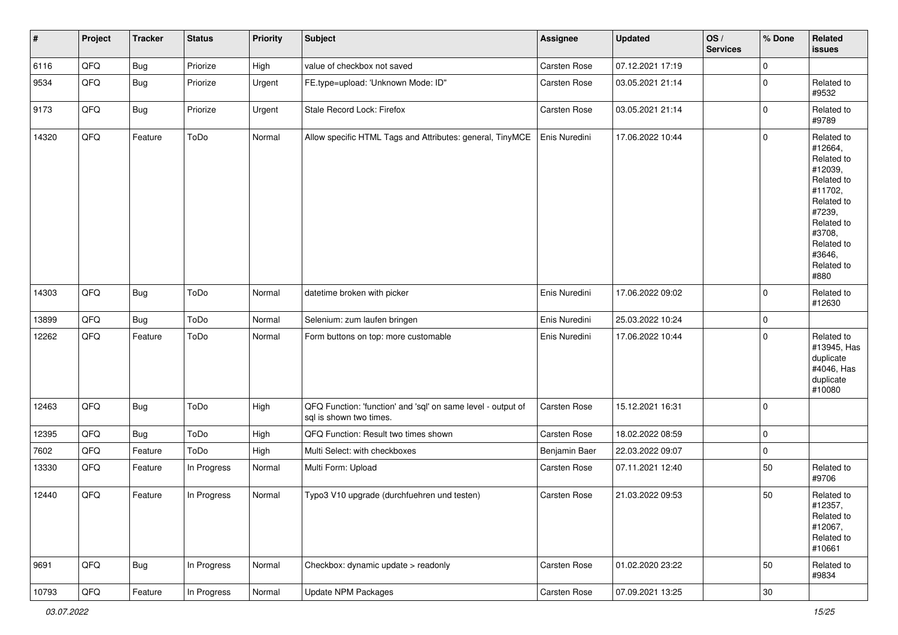| $\vert$ # | Project | <b>Tracker</b> | <b>Status</b> | <b>Priority</b> | <b>Subject</b>                                                                          | Assignee      | <b>Updated</b>   | OS/<br><b>Services</b> | % Done              | Related<br><b>issues</b>                                                                                                                                              |
|-----------|---------|----------------|---------------|-----------------|-----------------------------------------------------------------------------------------|---------------|------------------|------------------------|---------------------|-----------------------------------------------------------------------------------------------------------------------------------------------------------------------|
| 6116      | QFQ     | <b>Bug</b>     | Priorize      | High            | value of checkbox not saved                                                             | Carsten Rose  | 07.12.2021 17:19 |                        | 0                   |                                                                                                                                                                       |
| 9534      | QFQ     | <b>Bug</b>     | Priorize      | Urgent          | FE.type=upload: 'Unknown Mode: ID"                                                      | Carsten Rose  | 03.05.2021 21:14 |                        | $\mathbf 0$         | Related to<br>#9532                                                                                                                                                   |
| 9173      | QFQ     | <b>Bug</b>     | Priorize      | Urgent          | Stale Record Lock: Firefox                                                              | Carsten Rose  | 03.05.2021 21:14 |                        | $\mathbf 0$         | Related to<br>#9789                                                                                                                                                   |
| 14320     | QFQ     | Feature        | ToDo          | Normal          | Allow specific HTML Tags and Attributes: general, TinyMCE                               | Enis Nuredini | 17.06.2022 10:44 |                        | $\mathsf{O}\xspace$ | Related to<br>#12664,<br>Related to<br>#12039,<br>Related to<br>#11702,<br>Related to<br>#7239,<br>Related to<br>#3708,<br>Related to<br>#3646,<br>Related to<br>#880 |
| 14303     | QFQ     | <b>Bug</b>     | ToDo          | Normal          | datetime broken with picker                                                             | Enis Nuredini | 17.06.2022 09:02 |                        | $\mathbf 0$         | Related to<br>#12630                                                                                                                                                  |
| 13899     | QFQ     | Bug            | ToDo          | Normal          | Selenium: zum laufen bringen                                                            | Enis Nuredini | 25.03.2022 10:24 |                        | $\mathbf 0$         |                                                                                                                                                                       |
| 12262     | QFQ     | Feature        | ToDo          | Normal          | Form buttons on top: more customable                                                    | Enis Nuredini | 17.06.2022 10:44 |                        | $\mathbf 0$         | Related to<br>#13945, Has<br>duplicate<br>#4046, Has<br>duplicate<br>#10080                                                                                           |
| 12463     | QFQ     | Bug            | ToDo          | High            | QFQ Function: 'function' and 'sql' on same level - output of<br>sal is shown two times. | Carsten Rose  | 15.12.2021 16:31 |                        | 0                   |                                                                                                                                                                       |
| 12395     | QFQ     | <b>Bug</b>     | ToDo          | High            | QFQ Function: Result two times shown                                                    | Carsten Rose  | 18.02.2022 08:59 |                        | $\mathbf 0$         |                                                                                                                                                                       |
| 7602      | QFQ     | Feature        | ToDo          | High            | Multi Select: with checkboxes                                                           | Benjamin Baer | 22.03.2022 09:07 |                        | $\mathbf 0$         |                                                                                                                                                                       |
| 13330     | QFQ     | Feature        | In Progress   | Normal          | Multi Form: Upload                                                                      | Carsten Rose  | 07.11.2021 12:40 |                        | 50                  | Related to<br>#9706                                                                                                                                                   |
| 12440     | QFQ     | Feature        | In Progress   | Normal          | Typo3 V10 upgrade (durchfuehren und testen)                                             | Carsten Rose  | 21.03.2022 09:53 |                        | 50                  | Related to<br>#12357,<br>Related to<br>#12067,<br>Related to<br>#10661                                                                                                |
| 9691      | QFO     | <b>Bug</b>     | In Progress   | Normal          | Checkbox: dynamic update > readonly                                                     | Carsten Rose  | 01.02.2020 23:22 |                        | 50                  | Related to<br>#9834                                                                                                                                                   |
| 10793     | QFG     | Feature        | In Progress   | Normal          | Update NPM Packages                                                                     | Carsten Rose  | 07.09.2021 13:25 |                        | 30                  |                                                                                                                                                                       |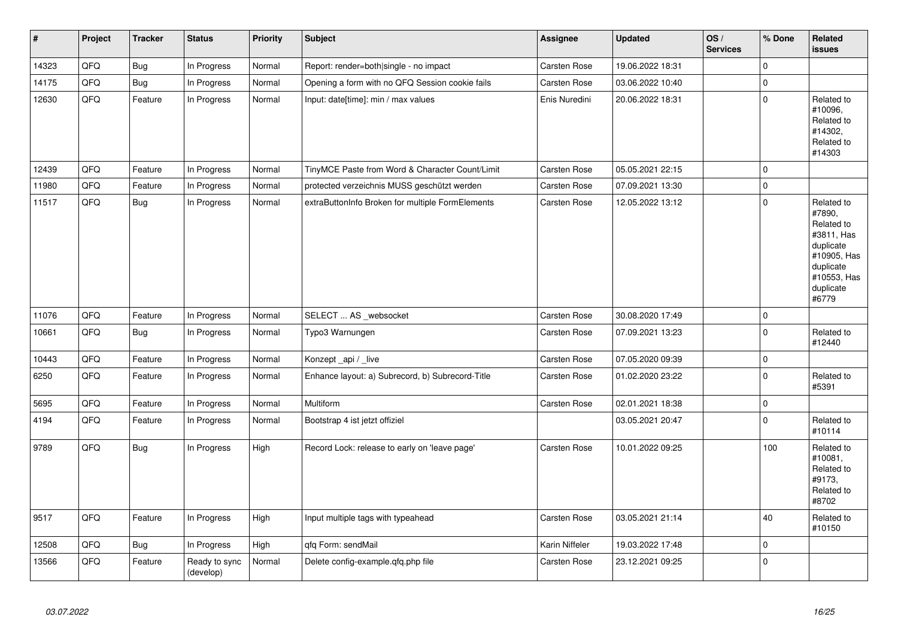| $\vert$ # | Project | <b>Tracker</b> | <b>Status</b>              | <b>Priority</b> | <b>Subject</b>                                   | Assignee            | <b>Updated</b>   | OS/<br><b>Services</b> | % Done      | Related<br><b>issues</b>                                                                                                       |
|-----------|---------|----------------|----------------------------|-----------------|--------------------------------------------------|---------------------|------------------|------------------------|-------------|--------------------------------------------------------------------------------------------------------------------------------|
| 14323     | QFQ     | <b>Bug</b>     | In Progress                | Normal          | Report: render=both single - no impact           | <b>Carsten Rose</b> | 19.06.2022 18:31 |                        | $\Omega$    |                                                                                                                                |
| 14175     | QFQ     | <b>Bug</b>     | In Progress                | Normal          | Opening a form with no QFQ Session cookie fails  | <b>Carsten Rose</b> | 03.06.2022 10:40 |                        | $\Omega$    |                                                                                                                                |
| 12630     | QFQ     | Feature        | In Progress                | Normal          | Input: date[time]: min / max values              | Enis Nuredini       | 20.06.2022 18:31 |                        | $\Omega$    | Related to<br>#10096,<br>Related to<br>#14302,<br>Related to<br>#14303                                                         |
| 12439     | QFQ     | Feature        | In Progress                | Normal          | TinyMCE Paste from Word & Character Count/Limit  | <b>Carsten Rose</b> | 05.05.2021 22:15 |                        | $\Omega$    |                                                                                                                                |
| 11980     | QFQ     | Feature        | In Progress                | Normal          | protected verzeichnis MUSS geschützt werden      | Carsten Rose        | 07.09.2021 13:30 |                        | $\mathbf 0$ |                                                                                                                                |
| 11517     | QFQ     | <b>Bug</b>     | In Progress                | Normal          | extraButtonInfo Broken for multiple FormElements | <b>Carsten Rose</b> | 12.05.2022 13:12 |                        | $\mathbf 0$ | Related to<br>#7890,<br>Related to<br>#3811, Has<br>duplicate<br>#10905, Has<br>duplicate<br>#10553, Has<br>duplicate<br>#6779 |
| 11076     | QFQ     | Feature        | In Progress                | Normal          | SELECT  AS _websocket                            | <b>Carsten Rose</b> | 30.08.2020 17:49 |                        | 0           |                                                                                                                                |
| 10661     | QFQ     | <b>Bug</b>     | In Progress                | Normal          | Typo3 Warnungen                                  | Carsten Rose        | 07.09.2021 13:23 |                        | 0           | Related to<br>#12440                                                                                                           |
| 10443     | QFQ     | Feature        | In Progress                | Normal          | Konzept_api / _live                              | <b>Carsten Rose</b> | 07.05.2020 09:39 |                        | 0           |                                                                                                                                |
| 6250      | QFQ     | Feature        | In Progress                | Normal          | Enhance layout: a) Subrecord, b) Subrecord-Title | Carsten Rose        | 01.02.2020 23:22 |                        | 0           | Related to<br>#5391                                                                                                            |
| 5695      | QFQ     | Feature        | In Progress                | Normal          | Multiform                                        | <b>Carsten Rose</b> | 02.01.2021 18:38 |                        | 0           |                                                                                                                                |
| 4194      | QFQ     | Feature        | In Progress                | Normal          | Bootstrap 4 ist jetzt offiziel                   |                     | 03.05.2021 20:47 |                        | $\Omega$    | Related to<br>#10114                                                                                                           |
| 9789      | QFQ     | <b>Bug</b>     | In Progress                | High            | Record Lock: release to early on 'leave page'    | Carsten Rose        | 10.01.2022 09:25 |                        | 100         | Related to<br>#10081,<br>Related to<br>#9173,<br>Related to<br>#8702                                                           |
| 9517      | QFQ     | Feature        | In Progress                | High            | Input multiple tags with typeahead               | <b>Carsten Rose</b> | 03.05.2021 21:14 |                        | 40          | Related to<br>#10150                                                                                                           |
| 12508     | QFQ     | <b>Bug</b>     | In Progress                | High            | qfq Form: sendMail                               | Karin Niffeler      | 19.03.2022 17:48 |                        | 0           |                                                                                                                                |
| 13566     | QFQ     | Feature        | Ready to sync<br>(develop) | Normal          | Delete config-example.qfq.php file               | Carsten Rose        | 23.12.2021 09:25 |                        | 0           |                                                                                                                                |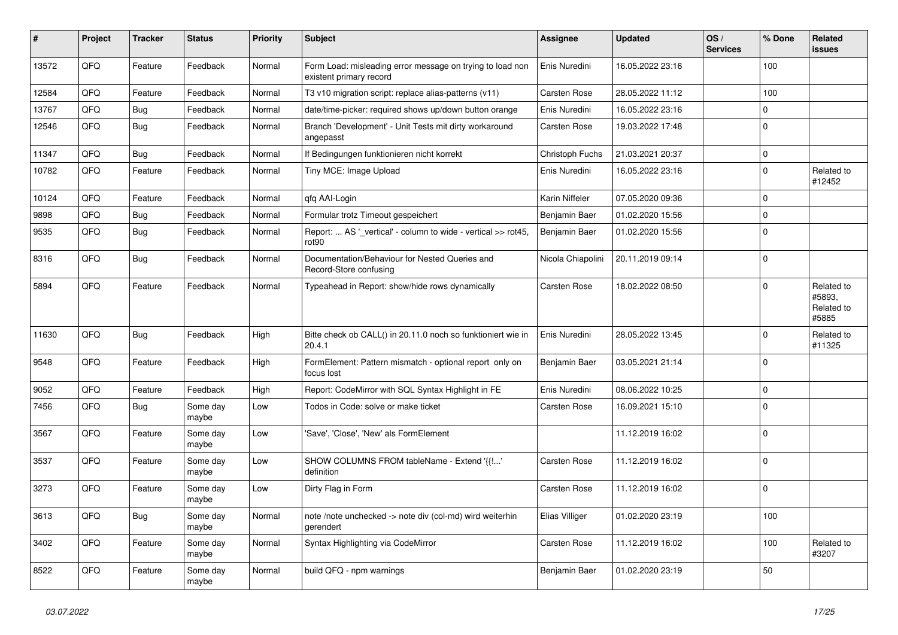| $\vert$ # | Project | <b>Tracker</b> | <b>Status</b>     | <b>Priority</b> | <b>Subject</b>                                                                       | Assignee            | <b>Updated</b>   | OS/<br><b>Services</b> | % Done      | <b>Related</b><br>issues                    |
|-----------|---------|----------------|-------------------|-----------------|--------------------------------------------------------------------------------------|---------------------|------------------|------------------------|-------------|---------------------------------------------|
| 13572     | QFQ     | Feature        | Feedback          | Normal          | Form Load: misleading error message on trying to load non<br>existent primary record | Enis Nuredini       | 16.05.2022 23:16 |                        | 100         |                                             |
| 12584     | QFQ     | Feature        | Feedback          | Normal          | T3 v10 migration script: replace alias-patterns (v11)                                | Carsten Rose        | 28.05.2022 11:12 |                        | 100         |                                             |
| 13767     | QFQ     | <b>Bug</b>     | Feedback          | Normal          | date/time-picker: required shows up/down button orange                               | Enis Nuredini       | 16.05.2022 23:16 |                        | $\Omega$    |                                             |
| 12546     | QFQ     | <b>Bug</b>     | Feedback          | Normal          | Branch 'Development' - Unit Tests mit dirty workaround<br>angepasst                  | Carsten Rose        | 19.03.2022 17:48 |                        | $\mathbf 0$ |                                             |
| 11347     | QFQ     | Bug            | Feedback          | Normal          | If Bedingungen funktionieren nicht korrekt                                           | Christoph Fuchs     | 21.03.2021 20:37 |                        | $\mathbf 0$ |                                             |
| 10782     | QFQ     | Feature        | Feedback          | Normal          | Tiny MCE: Image Upload                                                               | Enis Nuredini       | 16.05.2022 23:16 |                        | $\mathbf 0$ | Related to<br>#12452                        |
| 10124     | QFQ     | Feature        | Feedback          | Normal          | qfq AAI-Login                                                                        | Karin Niffeler      | 07.05.2020 09:36 |                        | $\Omega$    |                                             |
| 9898      | QFQ     | <b>Bug</b>     | Feedback          | Normal          | Formular trotz Timeout gespeichert                                                   | Benjamin Baer       | 01.02.2020 15:56 |                        | $\Omega$    |                                             |
| 9535      | QFQ     | <b>Bug</b>     | Feedback          | Normal          | Report:  AS '_vertical' - column to wide - vertical >> rot45,<br>rot90               | Benjamin Baer       | 01.02.2020 15:56 |                        | $\Omega$    |                                             |
| 8316      | QFQ     | Bug            | Feedback          | Normal          | Documentation/Behaviour for Nested Queries and<br>Record-Store confusing             | Nicola Chiapolini   | 20.11.2019 09:14 |                        | $\Omega$    |                                             |
| 5894      | QFQ     | Feature        | Feedback          | Normal          | Typeahead in Report: show/hide rows dynamically                                      | Carsten Rose        | 18.02.2022 08:50 |                        | $\Omega$    | Related to<br>#5893.<br>Related to<br>#5885 |
| 11630     | QFQ     | <b>Bug</b>     | Feedback          | High            | Bitte check ob CALL() in 20.11.0 noch so funktioniert wie in<br>20.4.1               | Enis Nuredini       | 28.05.2022 13:45 |                        | $\Omega$    | Related to<br>#11325                        |
| 9548      | QFQ     | Feature        | Feedback          | High            | FormElement: Pattern mismatch - optional report only on<br>focus lost                | Benjamin Baer       | 03.05.2021 21:14 |                        | $\mathbf 0$ |                                             |
| 9052      | QFQ     | Feature        | Feedback          | High            | Report: CodeMirror with SQL Syntax Highlight in FE                                   | Enis Nuredini       | 08.06.2022 10:25 |                        | $\Omega$    |                                             |
| 7456      | QFQ     | Bug            | Some dav<br>maybe | Low             | Todos in Code: solve or make ticket                                                  | Carsten Rose        | 16.09.2021 15:10 |                        | $\mathbf 0$ |                                             |
| 3567      | QFQ     | Feature        | Some day<br>maybe | Low             | 'Save', 'Close', 'New' als FormElement                                               |                     | 11.12.2019 16:02 |                        | $\Omega$    |                                             |
| 3537      | QFQ     | Feature        | Some day<br>maybe | Low             | SHOW COLUMNS FROM tableName - Extend '{{!'<br>definition                             | <b>Carsten Rose</b> | 11.12.2019 16:02 |                        | $\mathbf 0$ |                                             |
| 3273      | QFQ     | Feature        | Some day<br>maybe | Low             | Dirty Flag in Form                                                                   | <b>Carsten Rose</b> | 11.12.2019 16:02 |                        | $\mathbf 0$ |                                             |
| 3613      | QFQ     | <b>Bug</b>     | Some day<br>maybe | Normal          | note /note unchecked -> note div (col-md) wird weiterhin<br>gerendert                | Elias Villiger      | 01.02.2020 23:19 |                        | 100         |                                             |
| 3402      | QFQ     | Feature        | Some day<br>maybe | Normal          | Syntax Highlighting via CodeMirror                                                   | <b>Carsten Rose</b> | 11.12.2019 16:02 |                        | 100         | Related to<br>#3207                         |
| 8522      | QFQ     | Feature        | Some day<br>maybe | Normal          | build QFQ - npm warnings                                                             | Benjamin Baer       | 01.02.2020 23:19 |                        | 50          |                                             |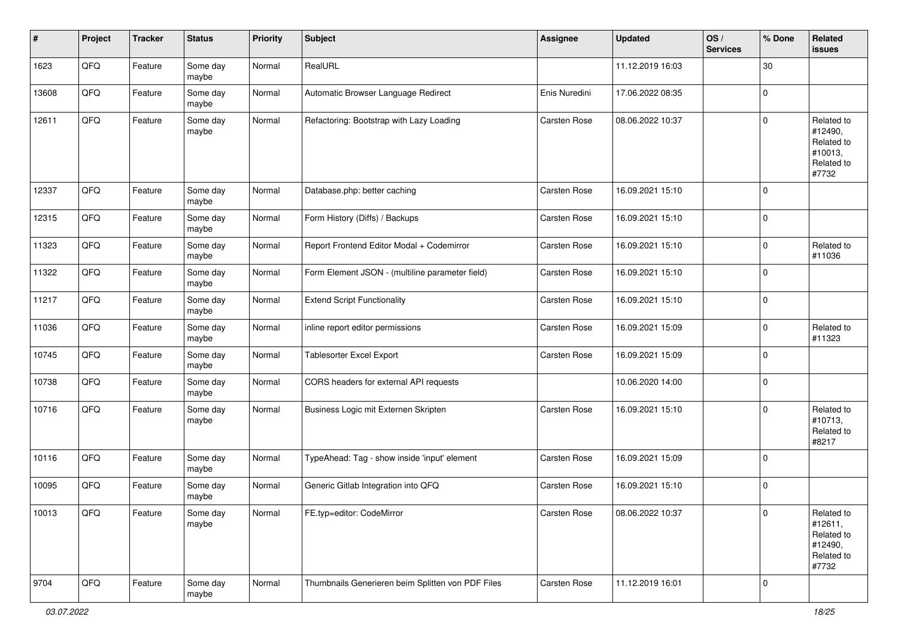| #     | Project | <b>Tracker</b> | <b>Status</b>     | <b>Priority</b> | <b>Subject</b>                                    | <b>Assignee</b>     | <b>Updated</b>   | OS/<br><b>Services</b> | % Done      | Related<br>issues                                                     |
|-------|---------|----------------|-------------------|-----------------|---------------------------------------------------|---------------------|------------------|------------------------|-------------|-----------------------------------------------------------------------|
| 1623  | QFQ     | Feature        | Some day<br>maybe | Normal          | RealURL                                           |                     | 11.12.2019 16:03 |                        | 30          |                                                                       |
| 13608 | QFQ     | Feature        | Some day<br>maybe | Normal          | Automatic Browser Language Redirect               | Enis Nuredini       | 17.06.2022 08:35 |                        | $\mathbf 0$ |                                                                       |
| 12611 | QFQ     | Feature        | Some day<br>maybe | Normal          | Refactoring: Bootstrap with Lazy Loading          | <b>Carsten Rose</b> | 08.06.2022 10:37 |                        | $\mathbf 0$ | Related to<br>#12490,<br>Related to<br>#10013,<br>Related to<br>#7732 |
| 12337 | QFQ     | Feature        | Some day<br>maybe | Normal          | Database.php: better caching                      | Carsten Rose        | 16.09.2021 15:10 |                        | $\mathbf 0$ |                                                                       |
| 12315 | QFQ     | Feature        | Some day<br>maybe | Normal          | Form History (Diffs) / Backups                    | Carsten Rose        | 16.09.2021 15:10 |                        | $\mathbf 0$ |                                                                       |
| 11323 | QFQ     | Feature        | Some day<br>maybe | Normal          | Report Frontend Editor Modal + Codemirror         | Carsten Rose        | 16.09.2021 15:10 |                        | $\mathbf 0$ | Related to<br>#11036                                                  |
| 11322 | QFQ     | Feature        | Some day<br>maybe | Normal          | Form Element JSON - (multiline parameter field)   | Carsten Rose        | 16.09.2021 15:10 |                        | $\mathbf 0$ |                                                                       |
| 11217 | QFQ     | Feature        | Some day<br>maybe | Normal          | <b>Extend Script Functionality</b>                | Carsten Rose        | 16.09.2021 15:10 |                        | $\mathbf 0$ |                                                                       |
| 11036 | QFQ     | Feature        | Some day<br>maybe | Normal          | inline report editor permissions                  | <b>Carsten Rose</b> | 16.09.2021 15:09 |                        | $\mathbf 0$ | Related to<br>#11323                                                  |
| 10745 | QFQ     | Feature        | Some day<br>maybe | Normal          | <b>Tablesorter Excel Export</b>                   | Carsten Rose        | 16.09.2021 15:09 |                        | $\mathbf 0$ |                                                                       |
| 10738 | QFQ     | Feature        | Some day<br>maybe | Normal          | CORS headers for external API requests            |                     | 10.06.2020 14:00 |                        | $\mathbf 0$ |                                                                       |
| 10716 | QFQ     | Feature        | Some day<br>maybe | Normal          | Business Logic mit Externen Skripten              | Carsten Rose        | 16.09.2021 15:10 |                        | $\mathbf 0$ | Related to<br>#10713,<br>Related to<br>#8217                          |
| 10116 | QFQ     | Feature        | Some day<br>maybe | Normal          | TypeAhead: Tag - show inside 'input' element      | Carsten Rose        | 16.09.2021 15:09 |                        | $\mathbf 0$ |                                                                       |
| 10095 | QFQ     | Feature        | Some day<br>maybe | Normal          | Generic Gitlab Integration into QFQ               | <b>Carsten Rose</b> | 16.09.2021 15:10 |                        | $\mathbf 0$ |                                                                       |
| 10013 | QFQ     | Feature        | Some day<br>maybe | Normal          | FE.typ=editor: CodeMirror                         | <b>Carsten Rose</b> | 08.06.2022 10:37 |                        | $\mathbf 0$ | Related to<br>#12611,<br>Related to<br>#12490,<br>Related to<br>#7732 |
| 9704  | QFG     | Feature        | Some day<br>maybe | Normal          | Thumbnails Generieren beim Splitten von PDF Files | Carsten Rose        | 11.12.2019 16:01 |                        | 0           |                                                                       |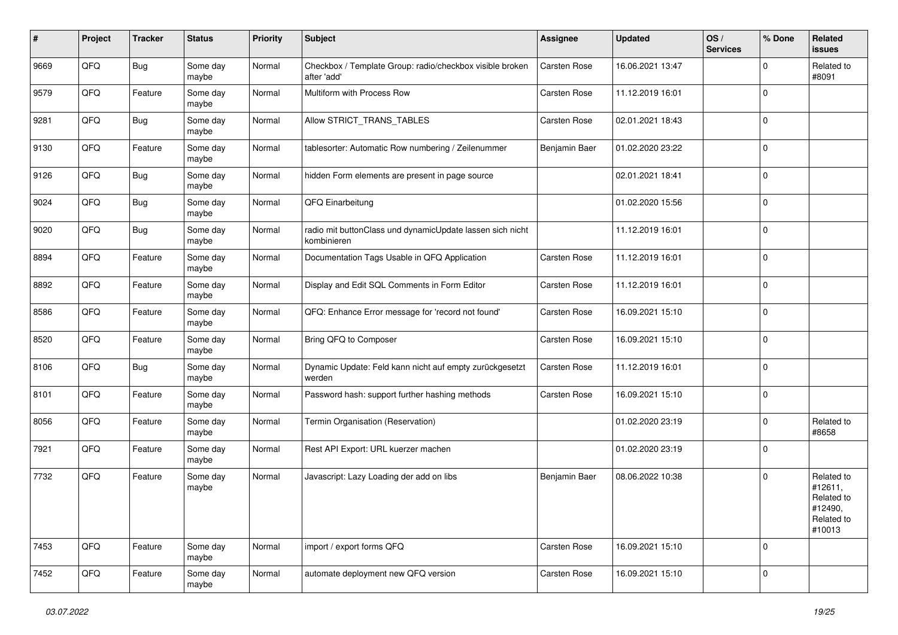| ∦    | Project | <b>Tracker</b> | <b>Status</b>     | <b>Priority</b> | Subject                                                                  | <b>Assignee</b> | <b>Updated</b>   | OS/<br><b>Services</b> | % Done      | Related<br>issues                                                      |
|------|---------|----------------|-------------------|-----------------|--------------------------------------------------------------------------|-----------------|------------------|------------------------|-------------|------------------------------------------------------------------------|
| 9669 | QFQ     | <b>Bug</b>     | Some day<br>maybe | Normal          | Checkbox / Template Group: radio/checkbox visible broken<br>after 'add'  | Carsten Rose    | 16.06.2021 13:47 |                        | $\mathbf 0$ | Related to<br>#8091                                                    |
| 9579 | QFQ     | Feature        | Some day<br>maybe | Normal          | Multiform with Process Row                                               | Carsten Rose    | 11.12.2019 16:01 |                        | $\mathbf 0$ |                                                                        |
| 9281 | QFQ     | Bug            | Some day<br>maybe | Normal          | Allow STRICT_TRANS_TABLES                                                | Carsten Rose    | 02.01.2021 18:43 |                        | $\mathbf 0$ |                                                                        |
| 9130 | QFQ     | Feature        | Some day<br>maybe | Normal          | tablesorter: Automatic Row numbering / Zeilenummer                       | Benjamin Baer   | 01.02.2020 23:22 |                        | 0           |                                                                        |
| 9126 | QFQ     | Bug            | Some day<br>maybe | Normal          | hidden Form elements are present in page source                          |                 | 02.01.2021 18:41 |                        | $\Omega$    |                                                                        |
| 9024 | QFQ     | <b>Bug</b>     | Some day<br>maybe | Normal          | QFQ Einarbeitung                                                         |                 | 01.02.2020 15:56 |                        | 0           |                                                                        |
| 9020 | QFQ     | <b>Bug</b>     | Some day<br>maybe | Normal          | radio mit buttonClass und dynamicUpdate lassen sich nicht<br>kombinieren |                 | 11.12.2019 16:01 |                        | $\mathbf 0$ |                                                                        |
| 8894 | QFQ     | Feature        | Some day<br>maybe | Normal          | Documentation Tags Usable in QFQ Application                             | Carsten Rose    | 11.12.2019 16:01 |                        | 0           |                                                                        |
| 8892 | QFQ     | Feature        | Some day<br>maybe | Normal          | Display and Edit SQL Comments in Form Editor                             | Carsten Rose    | 11.12.2019 16:01 |                        | 0           |                                                                        |
| 8586 | QFQ     | Feature        | Some day<br>maybe | Normal          | QFQ: Enhance Error message for 'record not found'                        | Carsten Rose    | 16.09.2021 15:10 |                        | 0           |                                                                        |
| 8520 | QFQ     | Feature        | Some day<br>maybe | Normal          | Bring QFQ to Composer                                                    | Carsten Rose    | 16.09.2021 15:10 |                        | 0           |                                                                        |
| 8106 | QFQ     | Bug            | Some day<br>maybe | Normal          | Dynamic Update: Feld kann nicht auf empty zurückgesetzt<br>werden        | Carsten Rose    | 11.12.2019 16:01 |                        | $\Omega$    |                                                                        |
| 8101 | QFQ     | Feature        | Some day<br>maybe | Normal          | Password hash: support further hashing methods                           | Carsten Rose    | 16.09.2021 15:10 |                        | 0           |                                                                        |
| 8056 | QFQ     | Feature        | Some day<br>maybe | Normal          | Termin Organisation (Reservation)                                        |                 | 01.02.2020 23:19 |                        | 0           | Related to<br>#8658                                                    |
| 7921 | QFQ     | Feature        | Some day<br>maybe | Normal          | Rest API Export: URL kuerzer machen                                      |                 | 01.02.2020 23:19 |                        | 0           |                                                                        |
| 7732 | QFQ     | Feature        | Some day<br>maybe | Normal          | Javascript: Lazy Loading der add on libs                                 | Benjamin Baer   | 08.06.2022 10:38 |                        | $\mathbf 0$ | Related to<br>#12611,<br>Related to<br>#12490,<br>Related to<br>#10013 |
| 7453 | QFQ     | Feature        | Some day<br>maybe | Normal          | import / export forms QFQ                                                | Carsten Rose    | 16.09.2021 15:10 |                        | $\pmb{0}$   |                                                                        |
| 7452 | QFG     | Feature        | Some day<br>maybe | Normal          | automate deployment new QFQ version                                      | Carsten Rose    | 16.09.2021 15:10 |                        | 0           |                                                                        |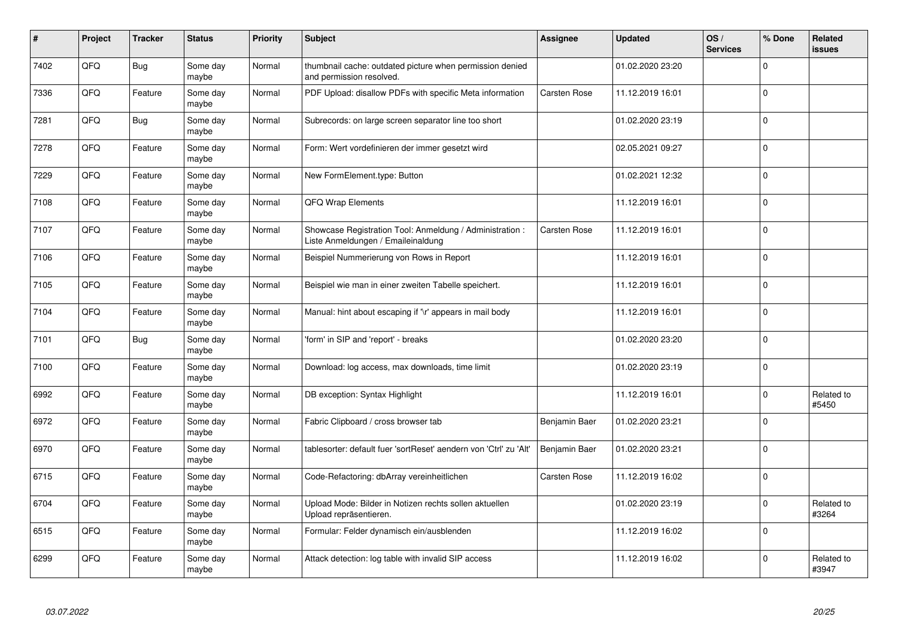| #    | Project | <b>Tracker</b> | <b>Status</b>     | <b>Priority</b> | <b>Subject</b>                                                                                 | Assignee            | <b>Updated</b>   | OS/<br><b>Services</b> | % Done              | Related<br>issues   |
|------|---------|----------------|-------------------|-----------------|------------------------------------------------------------------------------------------------|---------------------|------------------|------------------------|---------------------|---------------------|
| 7402 | QFQ     | Bug            | Some day<br>maybe | Normal          | thumbnail cache: outdated picture when permission denied<br>and permission resolved.           |                     | 01.02.2020 23:20 |                        | $\Omega$            |                     |
| 7336 | QFQ     | Feature        | Some day<br>maybe | Normal          | PDF Upload: disallow PDFs with specific Meta information                                       | Carsten Rose        | 11.12.2019 16:01 |                        | 0                   |                     |
| 7281 | QFQ     | <b>Bug</b>     | Some day<br>maybe | Normal          | Subrecords: on large screen separator line too short                                           |                     | 01.02.2020 23:19 |                        | $\mathbf 0$         |                     |
| 7278 | QFQ     | Feature        | Some day<br>maybe | Normal          | Form: Wert vordefinieren der immer gesetzt wird                                                |                     | 02.05.2021 09:27 |                        | $\Omega$            |                     |
| 7229 | QFQ     | Feature        | Some day<br>maybe | Normal          | New FormElement.type: Button                                                                   |                     | 01.02.2021 12:32 |                        | $\mathbf 0$         |                     |
| 7108 | QFQ     | Feature        | Some day<br>maybe | Normal          | QFQ Wrap Elements                                                                              |                     | 11.12.2019 16:01 |                        | $\mathbf 0$         |                     |
| 7107 | QFQ     | Feature        | Some day<br>maybe | Normal          | Showcase Registration Tool: Anmeldung / Administration :<br>Liste Anmeldungen / Emaileinaldung | Carsten Rose        | 11.12.2019 16:01 |                        | 0                   |                     |
| 7106 | QFQ     | Feature        | Some day<br>maybe | Normal          | Beispiel Nummerierung von Rows in Report                                                       |                     | 11.12.2019 16:01 |                        | $\mathbf 0$         |                     |
| 7105 | QFQ     | Feature        | Some day<br>maybe | Normal          | Beispiel wie man in einer zweiten Tabelle speichert.                                           |                     | 11.12.2019 16:01 |                        | $\mathbf 0$         |                     |
| 7104 | QFQ     | Feature        | Some day<br>maybe | Normal          | Manual: hint about escaping if '\r' appears in mail body                                       |                     | 11.12.2019 16:01 |                        | 0                   |                     |
| 7101 | QFQ     | <b>Bug</b>     | Some day<br>maybe | Normal          | form' in SIP and 'report' - breaks                                                             |                     | 01.02.2020 23:20 |                        | $\mathbf 0$         |                     |
| 7100 | QFQ     | Feature        | Some day<br>maybe | Normal          | Download: log access, max downloads, time limit                                                |                     | 01.02.2020 23:19 |                        | $\mathbf 0$         |                     |
| 6992 | QFQ     | Feature        | Some day<br>maybe | Normal          | DB exception: Syntax Highlight                                                                 |                     | 11.12.2019 16:01 |                        | $\mathbf 0$         | Related to<br>#5450 |
| 6972 | QFQ     | Feature        | Some day<br>maybe | Normal          | Fabric Clipboard / cross browser tab                                                           | Benjamin Baer       | 01.02.2020 23:21 |                        | $\Omega$            |                     |
| 6970 | QFQ     | Feature        | Some day<br>maybe | Normal          | tablesorter: default fuer 'sortReset' aendern von 'Ctrl' zu 'Alt'                              | Benjamin Baer       | 01.02.2020 23:21 |                        | $\Omega$            |                     |
| 6715 | QFQ     | Feature        | Some day<br>maybe | Normal          | Code-Refactoring: dbArray vereinheitlichen                                                     | <b>Carsten Rose</b> | 11.12.2019 16:02 |                        | $\Omega$            |                     |
| 6704 | QFQ     | Feature        | Some day<br>maybe | Normal          | Upload Mode: Bilder in Notizen rechts sollen aktuellen<br>Upload repräsentieren.               |                     | 01.02.2020 23:19 |                        | $\pmb{0}$           | Related to<br>#3264 |
| 6515 | QFQ     | Feature        | Some day<br>maybe | Normal          | Formular: Felder dynamisch ein/ausblenden                                                      |                     | 11.12.2019 16:02 |                        | $\mathsf{O}\xspace$ |                     |
| 6299 | QFQ     | Feature        | Some day<br>maybe | Normal          | Attack detection: log table with invalid SIP access                                            |                     | 11.12.2019 16:02 |                        | $\Omega$            | Related to<br>#3947 |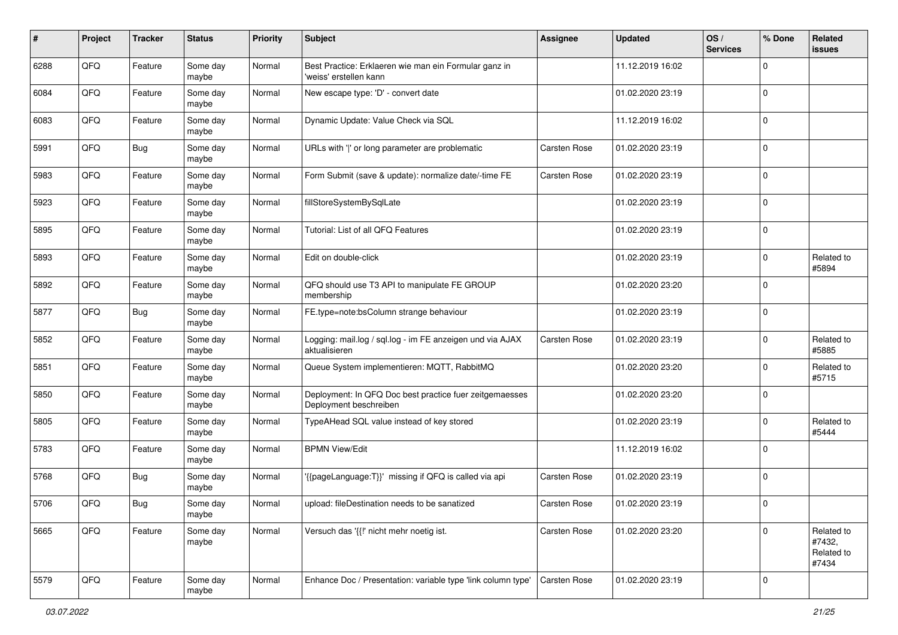| #    | Project | <b>Tracker</b> | <b>Status</b>     | <b>Priority</b> | <b>Subject</b>                                                                    | <b>Assignee</b> | <b>Updated</b>   | OS/<br><b>Services</b> | % Done      | Related<br>issues                           |
|------|---------|----------------|-------------------|-----------------|-----------------------------------------------------------------------------------|-----------------|------------------|------------------------|-------------|---------------------------------------------|
| 6288 | QFQ     | Feature        | Some day<br>maybe | Normal          | Best Practice: Erklaeren wie man ein Formular ganz in<br>'weiss' erstellen kann   |                 | 11.12.2019 16:02 |                        | $\mathbf 0$ |                                             |
| 6084 | QFQ     | Feature        | Some day<br>maybe | Normal          | New escape type: 'D' - convert date                                               |                 | 01.02.2020 23:19 |                        | $\mathbf 0$ |                                             |
| 6083 | QFQ     | Feature        | Some day<br>maybe | Normal          | Dynamic Update: Value Check via SQL                                               |                 | 11.12.2019 16:02 |                        | 0           |                                             |
| 5991 | QFQ     | <b>Bug</b>     | Some day<br>maybe | Normal          | URLs with ' ' or long parameter are problematic                                   | Carsten Rose    | 01.02.2020 23:19 |                        | 0           |                                             |
| 5983 | QFQ     | Feature        | Some day<br>maybe | Normal          | Form Submit (save & update): normalize date/-time FE                              | Carsten Rose    | 01.02.2020 23:19 |                        | $\mathbf 0$ |                                             |
| 5923 | QFQ     | Feature        | Some day<br>maybe | Normal          | fillStoreSystemBySqlLate                                                          |                 | 01.02.2020 23:19 |                        | $\mathbf 0$ |                                             |
| 5895 | QFQ     | Feature        | Some day<br>maybe | Normal          | Tutorial: List of all QFQ Features                                                |                 | 01.02.2020 23:19 |                        | $\Omega$    |                                             |
| 5893 | QFQ     | Feature        | Some day<br>maybe | Normal          | Edit on double-click                                                              |                 | 01.02.2020 23:19 |                        | $\mathbf 0$ | Related to<br>#5894                         |
| 5892 | QFQ     | Feature        | Some day<br>maybe | Normal          | QFQ should use T3 API to manipulate FE GROUP<br>membership                        |                 | 01.02.2020 23:20 |                        | $\mathbf 0$ |                                             |
| 5877 | QFQ     | <b>Bug</b>     | Some day<br>maybe | Normal          | FE.type=note:bsColumn strange behaviour                                           |                 | 01.02.2020 23:19 |                        | $\mathbf 0$ |                                             |
| 5852 | QFQ     | Feature        | Some day<br>maybe | Normal          | Logging: mail.log / sql.log - im FE anzeigen und via AJAX<br>aktualisieren        | Carsten Rose    | 01.02.2020 23:19 |                        | $\mathbf 0$ | Related to<br>#5885                         |
| 5851 | QFQ     | Feature        | Some day<br>maybe | Normal          | Queue System implementieren: MQTT, RabbitMQ                                       |                 | 01.02.2020 23:20 |                        | $\mathbf 0$ | Related to<br>#5715                         |
| 5850 | QFQ     | Feature        | Some day<br>maybe | Normal          | Deployment: In QFQ Doc best practice fuer zeitgemaesses<br>Deployment beschreiben |                 | 01.02.2020 23:20 |                        | $\mathbf 0$ |                                             |
| 5805 | QFQ     | Feature        | Some day<br>maybe | Normal          | TypeAHead SQL value instead of key stored                                         |                 | 01.02.2020 23:19 |                        | $\mathbf 0$ | Related to<br>#5444                         |
| 5783 | QFQ     | Feature        | Some day<br>maybe | Normal          | <b>BPMN View/Edit</b>                                                             |                 | 11.12.2019 16:02 |                        | 0           |                                             |
| 5768 | QFQ     | <b>Bug</b>     | Some day<br>maybe | Normal          | '{{pageLanguage:T}}' missing if QFQ is called via api                             | Carsten Rose    | 01.02.2020 23:19 |                        | $\mathbf 0$ |                                             |
| 5706 | QFQ     | Bug            | Some day<br>maybe | Normal          | upload: fileDestination needs to be sanatized                                     | Carsten Rose    | 01.02.2020 23:19 |                        | $\mathbf 0$ |                                             |
| 5665 | QFG     | Feature        | Some day<br>maybe | Normal          | Versuch das '{{!' nicht mehr noetig ist.                                          | Carsten Rose    | 01.02.2020 23:20 |                        | $\mathbf 0$ | Related to<br>#7432,<br>Related to<br>#7434 |
| 5579 | QFQ     | Feature        | Some day<br>maybe | Normal          | Enhance Doc / Presentation: variable type 'link column type'                      | Carsten Rose    | 01.02.2020 23:19 |                        | $\pmb{0}$   |                                             |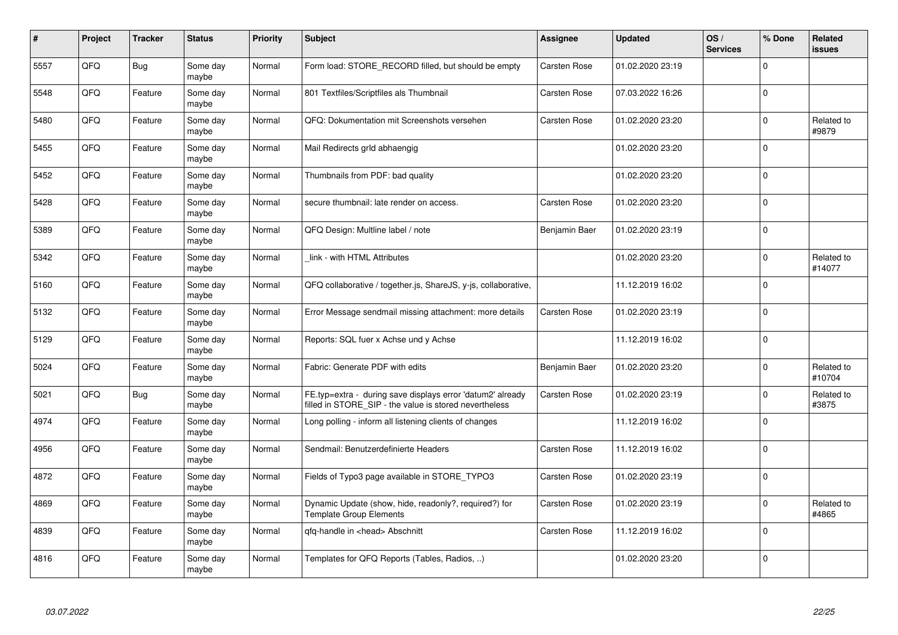| #    | Project | <b>Tracker</b> | <b>Status</b>     | <b>Priority</b> | <b>Subject</b>                                                                                                       | Assignee      | <b>Updated</b>   | OS/<br><b>Services</b> | % Done      | Related<br>issues    |
|------|---------|----------------|-------------------|-----------------|----------------------------------------------------------------------------------------------------------------------|---------------|------------------|------------------------|-------------|----------------------|
| 5557 | QFQ     | <b>Bug</b>     | Some day<br>maybe | Normal          | Form load: STORE_RECORD filled, but should be empty                                                                  | Carsten Rose  | 01.02.2020 23:19 |                        | $\Omega$    |                      |
| 5548 | QFQ     | Feature        | Some day<br>maybe | Normal          | 801 Textfiles/Scriptfiles als Thumbnail                                                                              | Carsten Rose  | 07.03.2022 16:26 |                        | $\Omega$    |                      |
| 5480 | QFQ     | Feature        | Some day<br>maybe | Normal          | QFQ: Dokumentation mit Screenshots versehen                                                                          | Carsten Rose  | 01.02.2020 23:20 |                        | $\mathbf 0$ | Related to<br>#9879  |
| 5455 | QFQ     | Feature        | Some day<br>maybe | Normal          | Mail Redirects grld abhaengig                                                                                        |               | 01.02.2020 23:20 |                        | $\Omega$    |                      |
| 5452 | QFQ     | Feature        | Some day<br>maybe | Normal          | Thumbnails from PDF: bad quality                                                                                     |               | 01.02.2020 23:20 |                        | $\Omega$    |                      |
| 5428 | QFQ     | Feature        | Some day<br>maybe | Normal          | secure thumbnail: late render on access.                                                                             | Carsten Rose  | 01.02.2020 23:20 |                        | $\mathbf 0$ |                      |
| 5389 | QFQ     | Feature        | Some day<br>maybe | Normal          | QFQ Design: Multline label / note                                                                                    | Benjamin Baer | 01.02.2020 23:19 |                        | $\mathbf 0$ |                      |
| 5342 | QFQ     | Feature        | Some day<br>maybe | Normal          | link - with HTML Attributes                                                                                          |               | 01.02.2020 23:20 |                        | $\Omega$    | Related to<br>#14077 |
| 5160 | QFQ     | Feature        | Some day<br>maybe | Normal          | QFQ collaborative / together.js, ShareJS, y-js, collaborative,                                                       |               | 11.12.2019 16:02 |                        | $\Omega$    |                      |
| 5132 | QFQ     | Feature        | Some day<br>maybe | Normal          | Error Message sendmail missing attachment: more details                                                              | Carsten Rose  | 01.02.2020 23:19 |                        | $\mathbf 0$ |                      |
| 5129 | QFQ     | Feature        | Some day<br>maybe | Normal          | Reports: SQL fuer x Achse und y Achse                                                                                |               | 11.12.2019 16:02 |                        | $\Omega$    |                      |
| 5024 | QFQ     | Feature        | Some day<br>maybe | Normal          | Fabric: Generate PDF with edits                                                                                      | Benjamin Baer | 01.02.2020 23:20 |                        | $\Omega$    | Related to<br>#10704 |
| 5021 | QFQ     | Bug            | Some day<br>maybe | Normal          | FE.typ=extra - during save displays error 'datum2' already<br>filled in STORE_SIP - the value is stored nevertheless | Carsten Rose  | 01.02.2020 23:19 |                        | $\mathbf 0$ | Related to<br>#3875  |
| 4974 | QFQ     | Feature        | Some day<br>maybe | Normal          | Long polling - inform all listening clients of changes                                                               |               | 11.12.2019 16:02 |                        | $\mathbf 0$ |                      |
| 4956 | QFQ     | Feature        | Some day<br>maybe | Normal          | Sendmail: Benutzerdefinierte Headers                                                                                 | Carsten Rose  | 11.12.2019 16:02 |                        | $\Omega$    |                      |
| 4872 | QFQ     | Feature        | Some day<br>maybe | Normal          | Fields of Typo3 page available in STORE TYPO3                                                                        | Carsten Rose  | 01.02.2020 23:19 |                        | $\Omega$    |                      |
| 4869 | QFQ     | Feature        | Some day<br>maybe | Normal          | Dynamic Update (show, hide, readonly?, required?) for<br><b>Template Group Elements</b>                              | Carsten Rose  | 01.02.2020 23:19 |                        | $\Omega$    | Related to<br>#4865  |
| 4839 | QFQ     | Feature        | Some day<br>maybe | Normal          | qfq-handle in <head> Abschnitt</head>                                                                                | Carsten Rose  | 11.12.2019 16:02 |                        | $\mathbf 0$ |                      |
| 4816 | QFQ     | Feature        | Some day<br>maybe | Normal          | Templates for QFQ Reports (Tables, Radios, )                                                                         |               | 01.02.2020 23:20 |                        | $\Omega$    |                      |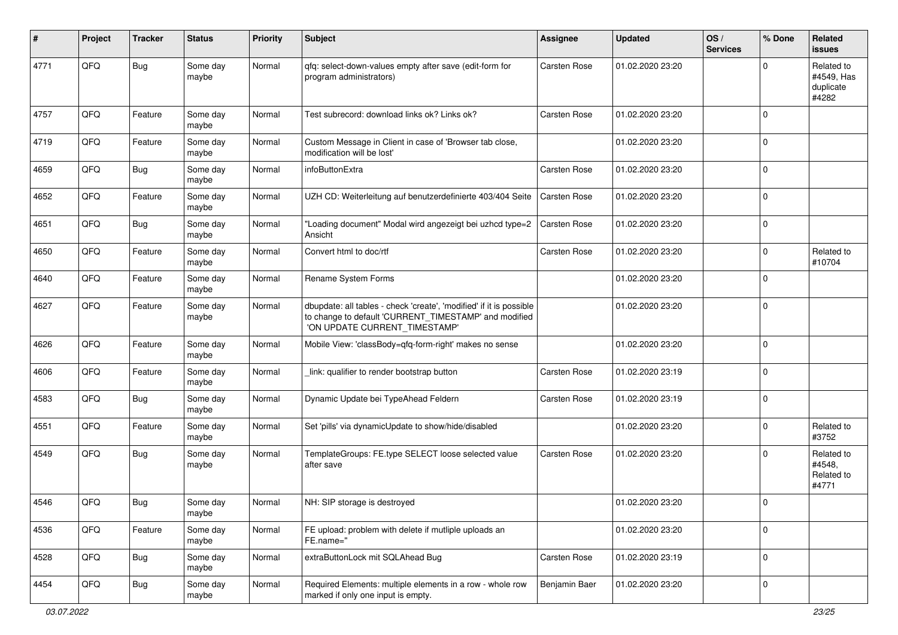| #    | Project | <b>Tracker</b> | <b>Status</b>     | <b>Priority</b> | <b>Subject</b>                                                                                                                                                | <b>Assignee</b> | <b>Updated</b>   | OS/<br><b>Services</b> | % Done      | Related<br>issues                              |
|------|---------|----------------|-------------------|-----------------|---------------------------------------------------------------------------------------------------------------------------------------------------------------|-----------------|------------------|------------------------|-------------|------------------------------------------------|
| 4771 | QFQ     | <b>Bug</b>     | Some day<br>maybe | Normal          | qfq: select-down-values empty after save (edit-form for<br>program administrators)                                                                            | Carsten Rose    | 01.02.2020 23:20 |                        | $\Omega$    | Related to<br>#4549, Has<br>duplicate<br>#4282 |
| 4757 | QFQ     | Feature        | Some day<br>maybe | Normal          | Test subrecord: download links ok? Links ok?                                                                                                                  | Carsten Rose    | 01.02.2020 23:20 |                        | $\mathbf 0$ |                                                |
| 4719 | QFQ     | Feature        | Some day<br>maybe | Normal          | Custom Message in Client in case of 'Browser tab close,<br>modification will be lost'                                                                         |                 | 01.02.2020 23:20 |                        | $\mathbf 0$ |                                                |
| 4659 | QFQ     | Bug            | Some day<br>maybe | Normal          | infoButtonExtra                                                                                                                                               | Carsten Rose    | 01.02.2020 23:20 |                        | $\mathbf 0$ |                                                |
| 4652 | QFQ     | Feature        | Some day<br>maybe | Normal          | UZH CD: Weiterleitung auf benutzerdefinierte 403/404 Seite                                                                                                    | Carsten Rose    | 01.02.2020 23:20 |                        | $\mathbf 0$ |                                                |
| 4651 | QFQ     | <b>Bug</b>     | Some day<br>maybe | Normal          | 'Loading document" Modal wird angezeigt bei uzhcd type=2<br>Ansicht                                                                                           | Carsten Rose    | 01.02.2020 23:20 |                        | $\mathbf 0$ |                                                |
| 4650 | QFQ     | Feature        | Some day<br>maybe | Normal          | Convert html to doc/rtf                                                                                                                                       | Carsten Rose    | 01.02.2020 23:20 |                        | $\mathbf 0$ | Related to<br>#10704                           |
| 4640 | QFQ     | Feature        | Some day<br>maybe | Normal          | Rename System Forms                                                                                                                                           |                 | 01.02.2020 23:20 |                        | $\mathbf 0$ |                                                |
| 4627 | QFQ     | Feature        | Some day<br>maybe | Normal          | dbupdate: all tables - check 'create', 'modified' if it is possible<br>to change to default 'CURRENT_TIMESTAMP' and modified<br>'ON UPDATE CURRENT TIMESTAMP' |                 | 01.02.2020 23:20 |                        | $\mathbf 0$ |                                                |
| 4626 | QFQ     | Feature        | Some day<br>maybe | Normal          | Mobile View: 'classBody=qfq-form-right' makes no sense                                                                                                        |                 | 01.02.2020 23:20 |                        | $\Omega$    |                                                |
| 4606 | QFQ     | Feature        | Some day<br>maybe | Normal          | link: qualifier to render bootstrap button                                                                                                                    | Carsten Rose    | 01.02.2020 23:19 |                        | 0           |                                                |
| 4583 | QFQ     | <b>Bug</b>     | Some day<br>maybe | Normal          | Dynamic Update bei TypeAhead Feldern                                                                                                                          | Carsten Rose    | 01.02.2020 23:19 |                        | $\mathbf 0$ |                                                |
| 4551 | QFQ     | Feature        | Some day<br>maybe | Normal          | Set 'pills' via dynamicUpdate to show/hide/disabled                                                                                                           |                 | 01.02.2020 23:20 |                        | $\mathbf 0$ | Related to<br>#3752                            |
| 4549 | QFQ     | <b>Bug</b>     | Some day<br>maybe | Normal          | TemplateGroups: FE.type SELECT loose selected value<br>after save                                                                                             | Carsten Rose    | 01.02.2020 23:20 |                        | $\Omega$    | Related to<br>#4548,<br>Related to<br>#4771    |
| 4546 | QFQ     | Bug            | Some day<br>maybe | Normal          | NH: SIP storage is destroyed                                                                                                                                  |                 | 01.02.2020 23:20 |                        | $\mathbf 0$ |                                                |
| 4536 | QFO     | Feature        | Some day<br>maybe | Normal          | FE upload: problem with delete if mutliple uploads an<br>FE.name="                                                                                            |                 | 01.02.2020 23:20 |                        | $\mathbf 0$ |                                                |
| 4528 | QFG     | Bug            | Some day<br>maybe | Normal          | extraButtonLock mit SQLAhead Bug                                                                                                                              | Carsten Rose    | 01.02.2020 23:19 |                        | $\mathbf 0$ |                                                |
| 4454 | QFO     | <b>Bug</b>     | Some day<br>maybe | Normal          | Required Elements: multiple elements in a row - whole row<br>marked if only one input is empty.                                                               | Benjamin Baer   | 01.02.2020 23:20 |                        | $\mathbf 0$ |                                                |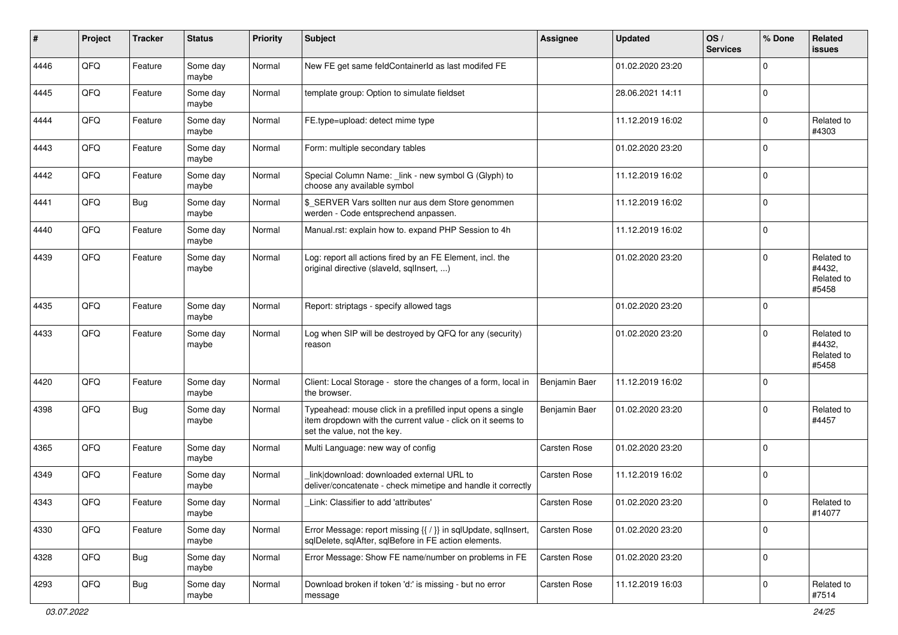| $\#$ | Project | <b>Tracker</b> | <b>Status</b>     | <b>Priority</b> | <b>Subject</b>                                                                                                                                           | <b>Assignee</b> | <b>Updated</b>   | OS/<br><b>Services</b> | % Done      | <b>Related</b><br>issues                    |
|------|---------|----------------|-------------------|-----------------|----------------------------------------------------------------------------------------------------------------------------------------------------------|-----------------|------------------|------------------------|-------------|---------------------------------------------|
| 4446 | QFQ     | Feature        | Some day<br>maybe | Normal          | New FE get same feldContainerId as last modifed FE                                                                                                       |                 | 01.02.2020 23:20 |                        | $\Omega$    |                                             |
| 4445 | QFQ     | Feature        | Some day<br>maybe | Normal          | template group: Option to simulate fieldset                                                                                                              |                 | 28.06.2021 14:11 |                        | $\mathbf 0$ |                                             |
| 4444 | QFQ     | Feature        | Some day<br>maybe | Normal          | FE.type=upload: detect mime type                                                                                                                         |                 | 11.12.2019 16:02 |                        | 0           | Related to<br>#4303                         |
| 4443 | QFQ     | Feature        | Some day<br>maybe | Normal          | Form: multiple secondary tables                                                                                                                          |                 | 01.02.2020 23:20 |                        | $\mathbf 0$ |                                             |
| 4442 | QFQ     | Feature        | Some day<br>maybe | Normal          | Special Column Name: _link - new symbol G (Glyph) to<br>choose any available symbol                                                                      |                 | 11.12.2019 16:02 |                        | 0           |                                             |
| 4441 | QFQ     | <b>Bug</b>     | Some day<br>maybe | Normal          | \$_SERVER Vars sollten nur aus dem Store genommen<br>werden - Code entsprechend anpassen.                                                                |                 | 11.12.2019 16:02 |                        | $\mathbf 0$ |                                             |
| 4440 | QFQ     | Feature        | Some day<br>maybe | Normal          | Manual.rst: explain how to. expand PHP Session to 4h                                                                                                     |                 | 11.12.2019 16:02 |                        | $\Omega$    |                                             |
| 4439 | QFQ     | Feature        | Some day<br>maybe | Normal          | Log: report all actions fired by an FE Element, incl. the<br>original directive (slaveld, sqllnsert, )                                                   |                 | 01.02.2020 23:20 |                        | $\mathbf 0$ | Related to<br>#4432,<br>Related to<br>#5458 |
| 4435 | QFQ     | Feature        | Some day<br>maybe | Normal          | Report: striptags - specify allowed tags                                                                                                                 |                 | 01.02.2020 23:20 |                        | $\mathbf 0$ |                                             |
| 4433 | QFQ     | Feature        | Some day<br>maybe | Normal          | Log when SIP will be destroyed by QFQ for any (security)<br>reason                                                                                       |                 | 01.02.2020 23:20 |                        | $\Omega$    | Related to<br>#4432,<br>Related to<br>#5458 |
| 4420 | QFQ     | Feature        | Some day<br>maybe | Normal          | Client: Local Storage - store the changes of a form, local in<br>the browser.                                                                            | Benjamin Baer   | 11.12.2019 16:02 |                        | $\Omega$    |                                             |
| 4398 | QFQ     | <b>Bug</b>     | Some day<br>maybe | Normal          | Typeahead: mouse click in a prefilled input opens a single<br>item dropdown with the current value - click on it seems to<br>set the value, not the key. | Benjamin Baer   | 01.02.2020 23:20 |                        | $\mathbf 0$ | Related to<br>#4457                         |
| 4365 | QFQ     | Feature        | Some day<br>maybe | Normal          | Multi Language: new way of config                                                                                                                        | Carsten Rose    | 01.02.2020 23:20 |                        | $\Omega$    |                                             |
| 4349 | QFQ     | Feature        | Some day<br>maybe | Normal          | link download: downloaded external URL to<br>deliver/concatenate - check mimetipe and handle it correctly                                                | Carsten Rose    | 11.12.2019 16:02 |                        | 0           |                                             |
| 4343 | QFQ     | Feature        | Some day<br>maybe | Normal          | Link: Classifier to add 'attributes'                                                                                                                     | Carsten Rose    | 01.02.2020 23:20 |                        | $\mathbf 0$ | Related to<br>#14077                        |
| 4330 | QFG     | Feature        | Some day<br>maybe | Normal          | Error Message: report missing {{ / }} in sqlUpdate, sqlInsert,<br>sqlDelete, sqlAfter, sqlBefore in FE action elements.                                  | Carsten Rose    | 01.02.2020 23:20 |                        | $\mathbf 0$ |                                             |
| 4328 | QFQ     | <b>Bug</b>     | Some day<br>maybe | Normal          | Error Message: Show FE name/number on problems in FE                                                                                                     | Carsten Rose    | 01.02.2020 23:20 |                        | $\pmb{0}$   |                                             |
| 4293 | QFQ     | <b>Bug</b>     | Some day<br>maybe | Normal          | Download broken if token 'd:' is missing - but no error<br>message                                                                                       | Carsten Rose    | 11.12.2019 16:03 |                        | $\pmb{0}$   | Related to<br>#7514                         |